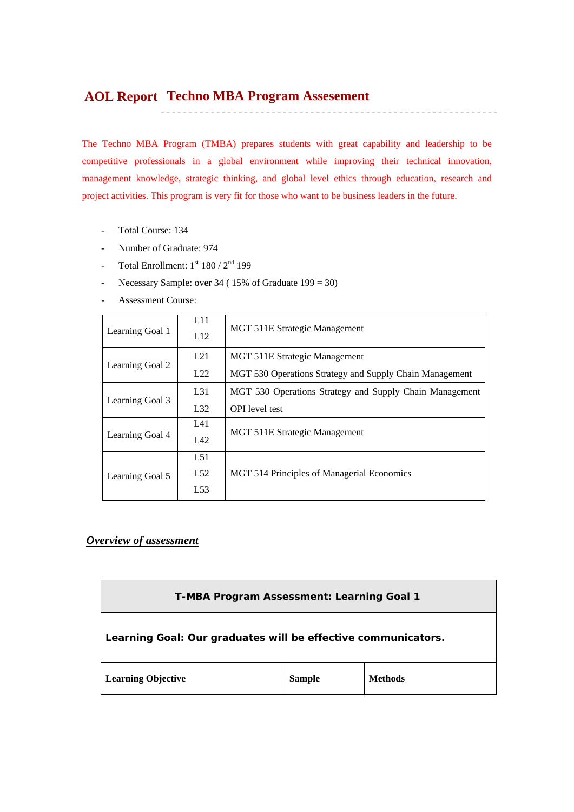# **Techno MBA Program Assesement AOL Report**

The Techno MBA Program (TMBA) prepares students with great capability and leadership to be competitive professionals in a global environment while improving their technical innovation, management knowledge, strategic thinking, and global level ethics through education, research and project activities. This program is very fit for those who want to be business leaders in the future.

- Total Course: 134
- Number of Graduate: 974
- Total Enrollment:  $1<sup>st</sup> 180 / 2<sup>nd</sup> 199$
- Necessary Sample: over 34 (  $15\%$  of Graduate  $199 = 30$ )
- Assessment Course:

| Learning Goal 1 | L11<br>L12      | MGT 511E Strategic Management                           |
|-----------------|-----------------|---------------------------------------------------------|
|                 | L21             | MGT 511E Strategic Management                           |
| Learning Goal 2 | L22             | MGT 530 Operations Strategy and Supply Chain Management |
|                 | L <sub>31</sub> | MGT 530 Operations Strategy and Supply Chain Management |
| Learning Goal 3 | L32             | <b>OPI</b> level test                                   |
|                 | L41             | MGT 511E Strategic Management                           |
| Learning Goal 4 | IA2             |                                                         |
|                 | L51             |                                                         |
| Learning Goal 5 | L52             | MGT 514 Principles of Managerial Economics              |
|                 | L53             |                                                         |

# *Overview of assessment*

| T-MBA Program Assessment: Learning Goal 1 |  |
|-------------------------------------------|--|
|-------------------------------------------|--|

**Learning Goal: Our graduates will be effective communicators.** 

| <b>Learning Objective</b> |  |
|---------------------------|--|
|---------------------------|--|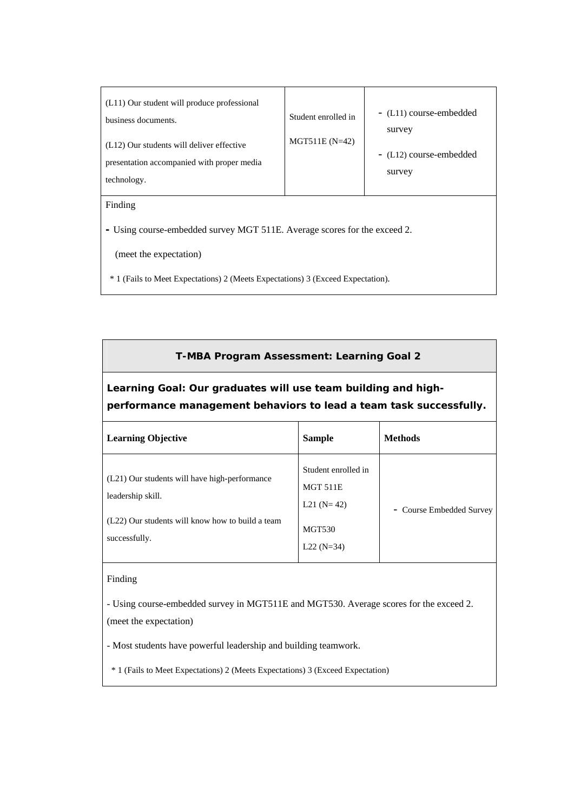| (L11) Our student will produce professional<br>business documents.<br>(L12) Our students will deliver effective<br>presentation accompanied with proper media<br>technology. | Student enrolled in<br>$MGT511E (N=42)$ | - (L11) course-embedded<br>survey<br>- (L12) course-embedded<br>survey |
|------------------------------------------------------------------------------------------------------------------------------------------------------------------------------|-----------------------------------------|------------------------------------------------------------------------|
|------------------------------------------------------------------------------------------------------------------------------------------------------------------------------|-----------------------------------------|------------------------------------------------------------------------|

#### Finding

**-** Using course-embedded survey MGT 511E. Average scores for the exceed 2.

(meet the expectation)

\* 1 (Fails to Meet Expectations) 2 (Meets Expectations) 3 (Exceed Expectation).

## **T-MBA Program Assessment: Learning Goal 2**

# **Learning Goal: Our graduates will use team building and highperformance management behaviors to lead a team task successfully.**

| <b>Learning Objective</b>                                                                                                               | <b>Sample</b>                                                                              | <b>Methods</b>           |
|-----------------------------------------------------------------------------------------------------------------------------------------|--------------------------------------------------------------------------------------------|--------------------------|
| (L21) Our students will have high-performance<br>leadership skill.<br>(L22) Our students will know how to build a team<br>successfully. | Student enrolled in<br><b>MGT 511E</b><br>L21 ( $N = 42$ )<br><b>MGT530</b><br>$L22(N=34)$ | - Course Embedded Survey |

#### Finding

- Using course-embedded survey in MGT511E and MGT530. Average scores for the exceed 2.

(meet the expectation)

- Most students have powerful leadership and building teamwork.

\* 1 (Fails to Meet Expectations) 2 (Meets Expectations) 3 (Exceed Expectation)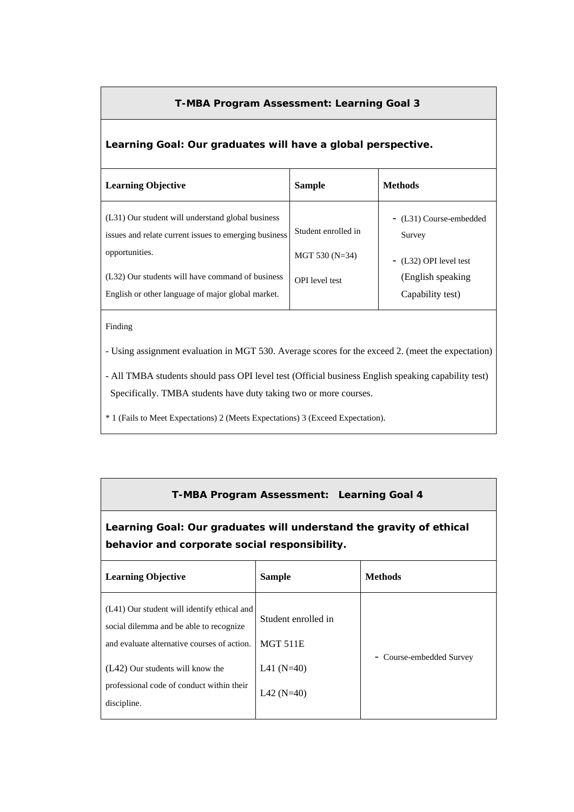## **T-MBA Program Assessment: Learning Goal 3**

### **Learning Goal: Our graduates will have a global perspective.**

| <b>Learning Objective</b>                                                                                                                                                                                                             | <b>Sample</b>                                                    | <b>Methods</b>                                                                                        |
|---------------------------------------------------------------------------------------------------------------------------------------------------------------------------------------------------------------------------------------|------------------------------------------------------------------|-------------------------------------------------------------------------------------------------------|
| (L31) Our student will understand global business<br>issues and relate current issues to emerging business<br>opportunities.<br>(L32) Our students will have command of business<br>English or other language of major global market. | Student enrolled in<br>$MGT 530 (N=34)$<br><b>OPI</b> level test | - (L31) Course-embedded<br>Survey<br>- (L32) OPI level test<br>(English speaking)<br>Capability test) |
|                                                                                                                                                                                                                                       |                                                                  |                                                                                                       |

Finding

- Using assignment evaluation in MGT 530. Average scores for the exceed 2. (meet the expectation)

- All TMBA students should pass OPI level test (Official business English speaking capability test) Specifically. TMBA students have duty taking two or more courses.

\* 1 (Fails to Meet Expectations) 2 (Meets Expectations) 3 (Exceed Expectation).

## **T-MBA Program Assessment: Learning Goal 4**

**Learning Goal: Our graduates will understand the gravity of ethical behavior and corporate social responsibility.** 

| <b>Learning Objective</b>                                                                                                                                                                                                               | <b>Sample</b>                                                                      | <b>Methods</b>           |
|-----------------------------------------------------------------------------------------------------------------------------------------------------------------------------------------------------------------------------------------|------------------------------------------------------------------------------------|--------------------------|
| (L41) Our student will identify ethical and<br>social dilemma and be able to recognize<br>and evaluate alternative courses of action.<br>$(L42)$ Our students will know the<br>professional code of conduct within their<br>discipline. | Student enrolled in<br><b>MGT 511E</b><br>L41 $(N=40)$<br>L <sub>42</sub> $(N=40)$ | - Course-embedded Survey |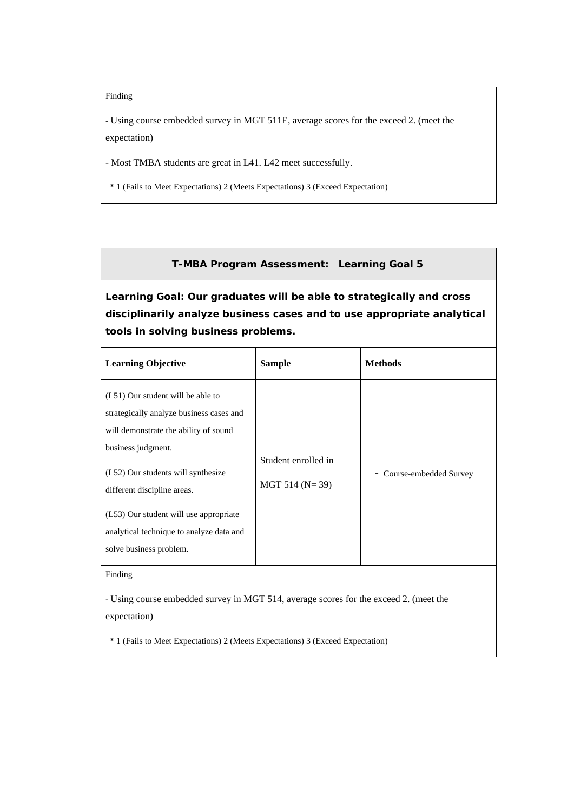#### Finding

- Using course embedded survey in MGT 511E, average scores for the exceed 2. (meet the expectation)

- Most TMBA students are great in L41. L42 meet successfully.

\* 1 (Fails to Meet Expectations) 2 (Meets Expectations) 3 (Exceed Expectation)

#### **T-MBA Program Assessment: Learning Goal 5**

**Learning Goal: Our graduates will be able to strategically and cross disciplinarily analyze business cases and to use appropriate analytical tools in solving business problems.** 

| <b>Learning Objective</b>                                                                                                                                                                                                                                                                                                          | <b>Sample</b>                               | <b>Methods</b>           |  |
|------------------------------------------------------------------------------------------------------------------------------------------------------------------------------------------------------------------------------------------------------------------------------------------------------------------------------------|---------------------------------------------|--------------------------|--|
| (L51) Our student will be able to<br>strategically analyze business cases and<br>will demonstrate the ability of sound<br>business judgment.<br>(L52) Our students will synthesize<br>different discipline areas.<br>(L53) Our student will use appropriate<br>analytical technique to analyze data and<br>solve business problem. | Student enrolled in<br>MGT 514 ( $N = 39$ ) | - Course-embedded Survey |  |

### Finding

- Using course embedded survey in MGT 514, average scores for the exceed 2. (meet the

#### expectation)

\* 1 (Fails to Meet Expectations) 2 (Meets Expectations) 3 (Exceed Expectation)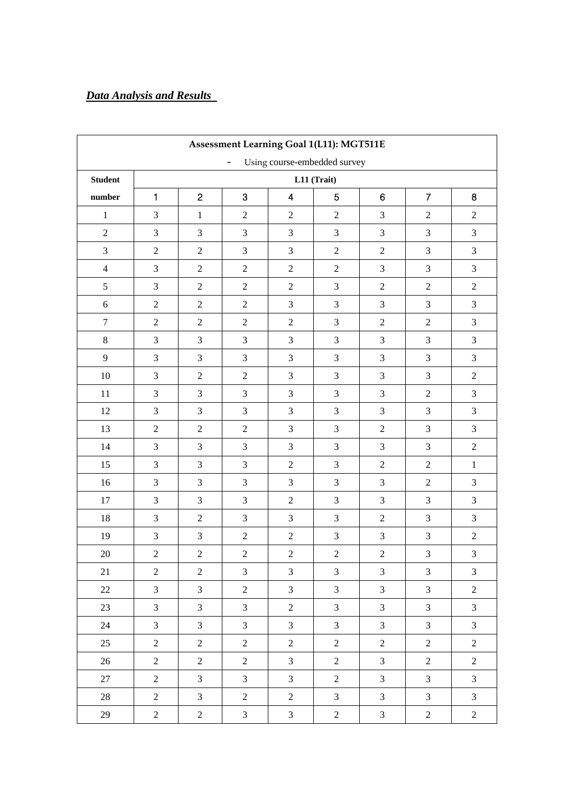# *Data Analysis and Results*

| Assessment Learning Goal 1(L11): MGT511E |                                                                           |                  |                  |                             |                  |                             |                |                             |  |
|------------------------------------------|---------------------------------------------------------------------------|------------------|------------------|-----------------------------|------------------|-----------------------------|----------------|-----------------------------|--|
|                                          | Using course-embedded survey<br>-                                         |                  |                  |                             |                  |                             |                |                             |  |
| <b>Student</b>                           |                                                                           | L11 (Trait)      |                  |                             |                  |                             |                |                             |  |
| number                                   | $\overline{2}$<br>$\overline{7}$<br>$\mathbf{1}$<br>3<br>8<br>5<br>6<br>4 |                  |                  |                             |                  |                             |                |                             |  |
| $\,1$                                    | 3                                                                         | $\,1\,$          | $\sqrt{2}$       | $\sqrt{2}$                  | $\sqrt{2}$       | 3                           | $\sqrt{2}$     | $\overline{2}$              |  |
| $\overline{2}$                           | $\mathfrak{Z}$                                                            | $\mathfrak{Z}$   | 3                | $\ensuremath{\mathfrak{Z}}$ | $\mathfrak{Z}$   | $\ensuremath{\mathfrak{Z}}$ | $\mathfrak{Z}$ | $\mathfrak{Z}$              |  |
| $\mathfrak{Z}$                           | $\boldsymbol{2}$                                                          | $\overline{2}$   | 3                | $\mathfrak{Z}$              | $\sqrt{2}$       | $\sqrt{2}$                  | $\mathfrak{Z}$ | $\mathfrak{Z}$              |  |
| $\overline{4}$                           | $\mathfrak{Z}$                                                            | $\sqrt{2}$       | $\sqrt{2}$       | $\boldsymbol{2}$            | $\boldsymbol{2}$ | $\ensuremath{\mathfrak{Z}}$ | $\mathfrak{Z}$ | $\ensuremath{\mathfrak{Z}}$ |  |
| $\sqrt{5}$                               | 3                                                                         | $\sqrt{2}$       | $\sqrt{2}$       | $\sqrt{2}$                  | $\mathfrak{Z}$   | $\sqrt{2}$                  | $\sqrt{2}$     | $\sqrt{2}$                  |  |
| $\sqrt{6}$                               | $\sqrt{2}$                                                                | $\sqrt{2}$       | $\boldsymbol{2}$ | $\mathfrak{Z}$              | $\mathfrak{Z}$   | $\mathfrak{Z}$              | $\mathfrak{Z}$ | $\mathfrak{Z}$              |  |
| $\boldsymbol{7}$                         | $\sqrt{2}$                                                                | $\sqrt{2}$       | $\sqrt{2}$       | $\sqrt{2}$                  | $\mathfrak{Z}$   | $\sqrt{2}$                  | $\sqrt{2}$     | $\overline{3}$              |  |
| $8\,$                                    | $\overline{3}$                                                            | 3                | 3                | $\mathfrak{Z}$              | 3                | 3                           | 3              | $\mathfrak{Z}$              |  |
| 9                                        | 3                                                                         | $\mathfrak{Z}$   | $\mathfrak{Z}$   | $\mathfrak{Z}$              | 3                | $\mathfrak{Z}$              | $\mathfrak{Z}$ | $\mathfrak{Z}$              |  |
| $10\,$                                   | $\mathfrak{Z}$                                                            | $\boldsymbol{2}$ | $\boldsymbol{2}$ | $\ensuremath{\mathfrak{Z}}$ | $\mathfrak{Z}$   | $\mathfrak{Z}$              | $\mathfrak{Z}$ | $\overline{2}$              |  |
| $11\,$                                   | 3                                                                         | $\mathfrak{Z}$   | $\mathfrak{Z}$   | $\mathfrak{Z}$              | $\mathfrak{Z}$   | $\mathfrak{Z}$              | $\sqrt{2}$     | $\mathfrak{Z}$              |  |
| 12                                       | 3                                                                         | $\mathfrak{Z}$   | 3                | $\mathfrak{Z}$              | $\mathfrak{Z}$   | $\mathfrak{Z}$              | $\mathfrak{Z}$ | $\mathfrak{Z}$              |  |
| 13                                       | $\mathbf{2}$                                                              | $\sqrt{2}$       | $\sqrt{2}$       | $\mathfrak{Z}$              | 3                | $\boldsymbol{2}$            | $\mathfrak{Z}$ | $\mathfrak{Z}$              |  |
| 14                                       | 3                                                                         | $\mathfrak{Z}$   | $\mathfrak{Z}$   | $\mathfrak{Z}$              | $\mathfrak{Z}$   | $\mathfrak{Z}$              | $\mathfrak{Z}$ | $\sqrt{2}$                  |  |
| 15                                       | $\mathfrak{Z}$                                                            | $\mathfrak{Z}$   | $\mathfrak{Z}$   | $\sqrt{2}$                  | $\mathfrak{Z}$   | $\sqrt{2}$                  | $\sqrt{2}$     | $\mathbf{1}$                |  |
| 16                                       | 3                                                                         | $\mathfrak{Z}$   | $\mathfrak 3$    | $\mathfrak{Z}$              | $\mathfrak{Z}$   | $\mathfrak{Z}$              | $\sqrt{2}$     | $\mathfrak{Z}$              |  |
| $17\,$                                   | 3                                                                         | $\mathfrak{Z}$   | $\mathfrak{Z}$   | $\boldsymbol{2}$            | $\mathfrak{Z}$   | $\mathfrak{Z}$              | $\mathfrak{Z}$ | $\mathfrak{Z}$              |  |
| 18                                       | 3                                                                         | $\overline{2}$   | 3                | 3                           | 3                | $\overline{2}$              | 3              | $\overline{3}$              |  |
| 19                                       | 3                                                                         | $\mathfrak{Z}$   | $\boldsymbol{2}$ | $\boldsymbol{2}$            | $\mathfrak{Z}$   | $\ensuremath{\mathfrak{Z}}$ | $\mathfrak{Z}$ | $\sqrt{2}$                  |  |
| $20\,$                                   | $\overline{c}$                                                            | $\sqrt{2}$       | $\sqrt{2}$       | $\sqrt{2}$                  | $\sqrt{2}$       | $\sqrt{2}$                  | $\mathfrak{Z}$ | $\mathfrak{Z}$              |  |
| 21                                       | $\mathbf{2}$                                                              | $\overline{2}$   | 3                | $\mathfrak{Z}$              | $\mathfrak{Z}$   | $\mathfrak{Z}$              | $\mathfrak{Z}$ | $\mathfrak{Z}$              |  |
| $22\,$                                   | 3                                                                         | 3                | $\overline{2}$   | $\mathfrak{Z}$              | $\mathfrak{Z}$   | $\mathfrak{Z}$              | $\mathfrak{Z}$ | $\overline{2}$              |  |
| 23                                       | 3                                                                         | $\mathfrak{Z}$   | 3                | $\sqrt{2}$                  | $\mathfrak{Z}$   | $\mathfrak{Z}$              | $\mathfrak{Z}$ | $\mathfrak{Z}$              |  |
| 24                                       | 3                                                                         | 3                | $\overline{3}$   | 3                           | $\mathfrak{Z}$   | $\overline{3}$              | $\mathfrak{Z}$ | $\mathfrak{Z}$              |  |
| 25                                       | $\overline{2}$                                                            | $\overline{c}$   | $\sqrt{2}$       | $\sqrt{2}$                  | $\overline{2}$   | $\sqrt{2}$                  | $\sqrt{2}$     | $\sqrt{2}$                  |  |
| 26                                       | $\overline{c}$                                                            | $\boldsymbol{2}$ | $\overline{2}$   | $\mathfrak{Z}$              | $\overline{2}$   | $\mathfrak{Z}$              | $\sqrt{2}$     | $\overline{2}$              |  |
| $27\,$                                   | $\overline{2}$                                                            | $\mathfrak{Z}$   | $\mathfrak{Z}$   | $\mathfrak{Z}$              | $\overline{2}$   | $\mathfrak{Z}$              | $\mathfrak{Z}$ | $\mathfrak{Z}$              |  |
| 28                                       | $\overline{2}$                                                            | $\mathfrak{Z}$   | $\overline{2}$   | $\overline{2}$              | $\mathfrak{Z}$   | $\mathfrak{Z}$              | 3              | $\mathfrak{Z}$              |  |
| 29                                       | $\overline{c}$                                                            | $\overline{c}$   | $\mathfrak{Z}$   | $\mathfrak{Z}$              | $\sqrt{2}$       | $\mathfrak{Z}$              | $\sqrt{2}$     | $\sqrt{2}$                  |  |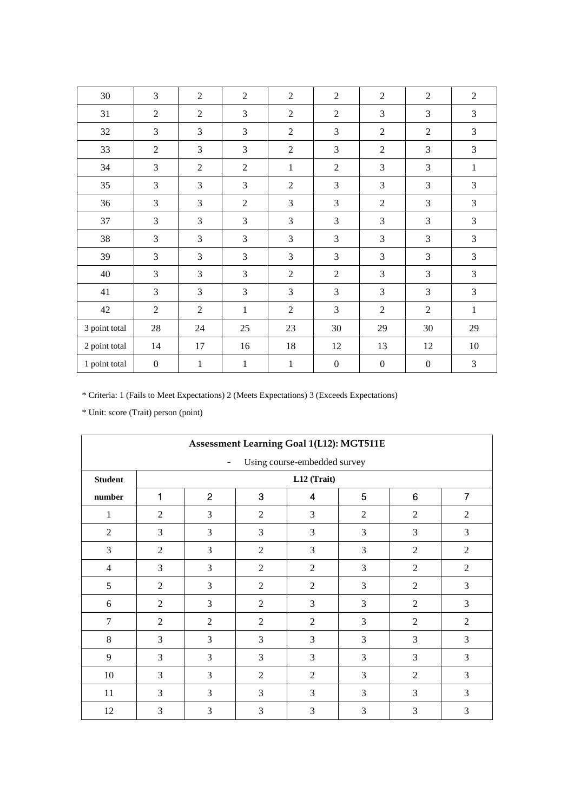| 30            | 3                | $\overline{2}$ | $\overline{2}$ | $\overline{2}$ | $\overline{2}$   | $\overline{2}$   | $\overline{2}$   | $\overline{2}$ |
|---------------|------------------|----------------|----------------|----------------|------------------|------------------|------------------|----------------|
| 31            | $\overline{2}$   | $\overline{2}$ | 3              | $\mathbf{2}$   | $\overline{2}$   | 3                | 3                | 3              |
| 32            | 3                | 3              | 3              | $\overline{2}$ | $\mathfrak{Z}$   | $\overline{2}$   | $\overline{2}$   | 3              |
| 33            | $\overline{2}$   | 3              | 3              | $\overline{2}$ | 3                | $\overline{2}$   | 3                | 3              |
| 34            | 3                | $\overline{2}$ | $\overline{2}$ | $\mathbf{1}$   | $\overline{2}$   | 3                | 3                | $\mathbf{1}$   |
| 35            | 3                | 3              | 3              | $\sqrt{2}$     | 3                | 3                | 3                | 3              |
| 36            | 3                | 3              | $\overline{2}$ | 3              | 3                | $\overline{2}$   | 3                | 3              |
| 37            | 3                | 3              | 3              | $\mathfrak{Z}$ | 3                | 3                | 3                | 3              |
| 38            | 3                | 3              | 3              | $\mathfrak{Z}$ | 3                | $\mathfrak{Z}$   | 3                | $\mathfrak{Z}$ |
| 39            | 3                | 3              | 3              | 3              | 3                | 3                | 3                | 3              |
| 40            | 3                | 3              | 3              | $\overline{2}$ | $\overline{2}$   | 3                | 3                | 3              |
| 41            | 3                | 3              | 3              | 3              | 3                | 3                | 3                | 3              |
| 42            | $\overline{2}$   | $\overline{2}$ | $\mathbf{1}$   | $\overline{2}$ | 3                | $\overline{2}$   | $\overline{2}$   | $\mathbf{1}$   |
| 3 point total | $28\,$           | 24             | 25             | 23             | 30               | 29               | 30               | 29             |
| 2 point total | 14               | 17             | 16             | $18\,$         | 12               | 13               | 12               | 10             |
| 1 point total | $\boldsymbol{0}$ | $\mathbf{1}$   | 1              | 1              | $\boldsymbol{0}$ | $\boldsymbol{0}$ | $\boldsymbol{0}$ | $\mathfrak{Z}$ |

| Assessment Learning Goal 1(L12): MGT511E |                |                |                |                |                |                |                |  |  |
|------------------------------------------|----------------|----------------|----------------|----------------|----------------|----------------|----------------|--|--|
| Using course-embedded survey             |                |                |                |                |                |                |                |  |  |
| <b>Student</b>                           |                |                |                | L12 (Trait)    |                |                |                |  |  |
| number                                   | 1              | $\overline{c}$ | 3              | 4              | 5              | 6              | $\overline{7}$ |  |  |
| 1                                        | $\overline{2}$ | 3              | $\overline{2}$ | 3              | $\overline{2}$ | $\overline{2}$ | $\overline{2}$ |  |  |
| $\overline{2}$                           | 3              | 3              | 3              | 3              | 3              | 3              | 3              |  |  |
| 3                                        | $\overline{2}$ | 3              | 2              | 3              | 3              | $\overline{2}$ | $\overline{2}$ |  |  |
| $\overline{4}$                           | 3              | 3              | $\overline{2}$ | $\overline{2}$ | 3              | $\overline{2}$ | $\mathfrak{2}$ |  |  |
| 5                                        | $\overline{2}$ | 3              | $\overline{2}$ | $\overline{2}$ | 3              | $\overline{2}$ | 3              |  |  |
| 6                                        | $\overline{2}$ | 3              | 2              | 3              | 3              | $\overline{2}$ | 3              |  |  |
| $\overline{7}$                           | $\overline{2}$ | $\overline{2}$ | $\overline{2}$ | $\overline{2}$ | 3              | $\overline{2}$ | $\overline{2}$ |  |  |
| 8                                        | 3              | 3              | 3              | 3              | 3              | 3              | 3              |  |  |
| 9                                        | 3              | 3              | 3              | 3              | 3              | 3              | 3              |  |  |
| 10                                       | 3              | 3              | 2              | $\overline{2}$ | 3              | $\overline{2}$ | 3              |  |  |
| 11                                       | 3              | 3              | 3              | 3              | 3              | 3              | 3              |  |  |
| 12                                       | 3              | 3              | 3              | 3              | 3              | 3              | 3              |  |  |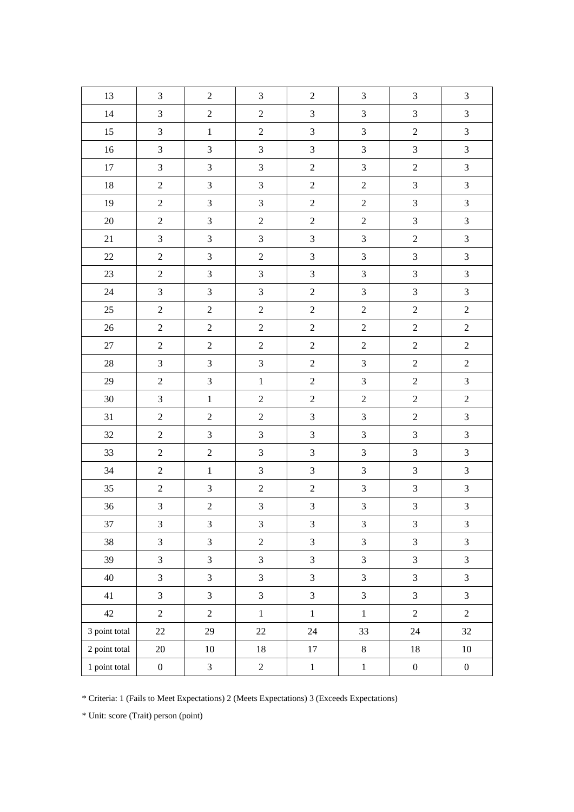| $\mathfrak{Z}$<br>3<br>$\overline{2}$<br>$\mathfrak{Z}$<br>13<br>$\overline{2}$<br>3<br>$\mathfrak{Z}$<br>3<br>$\sqrt{2}$<br>$\mathfrak{Z}$<br>$\mathfrak{Z}$<br>14<br>$\sqrt{2}$<br>$\mathfrak{Z}$<br>3<br>$\mathfrak{Z}$<br>$\,1\,$<br>$\sqrt{2}$<br>$\sqrt{2}$<br>15 | $\mathfrak{Z}$<br>$\ensuremath{\mathfrak{Z}}$ |
|-------------------------------------------------------------------------------------------------------------------------------------------------------------------------------------------------------------------------------------------------------------------------|-----------------------------------------------|
|                                                                                                                                                                                                                                                                         |                                               |
|                                                                                                                                                                                                                                                                         |                                               |
|                                                                                                                                                                                                                                                                         | $\ensuremath{\mathfrak{Z}}$                   |
| $\mathfrak{Z}$<br>3<br>$\mathfrak{Z}$<br>16<br>$\ensuremath{\mathfrak{Z}}$<br>$\mathfrak{Z}$<br>$\mathfrak 3$                                                                                                                                                           | $\ensuremath{\mathfrak{Z}}$                   |
| $\mathfrak{Z}$<br>$\mathfrak{Z}$<br>3<br>17<br>$\mathfrak{Z}$<br>$\sqrt{2}$<br>$\sqrt{2}$                                                                                                                                                                               | $\ensuremath{\mathfrak{Z}}$                   |
| $\sqrt{2}$<br>3<br>$\mathfrak{Z}$<br>$\overline{2}$<br>$\overline{c}$<br>$\sqrt{3}$<br>$18\,$                                                                                                                                                                           | $\ensuremath{\mathfrak{Z}}$                   |
| $\mathfrak{Z}$<br>$\overline{2}$<br>$\mathfrak{Z}$<br>19<br>$\boldsymbol{2}$<br>3<br>$\mathbf{2}$                                                                                                                                                                       | $\ensuremath{\mathfrak{Z}}$                   |
| $\boldsymbol{2}$<br>$\mathfrak{Z}$<br>$\overline{2}$<br>$\overline{2}$<br>$\mathfrak{Z}$<br>$20\,$<br>$\sqrt{2}$                                                                                                                                                        | $\sqrt{3}$                                    |
| $\mathfrak{Z}$<br>$\mathfrak{Z}$<br>$21\,$<br>$\mathfrak{Z}$<br>$\mathfrak{Z}$<br>$\sqrt{2}$<br>$\mathfrak{Z}$                                                                                                                                                          | $\sqrt{3}$                                    |
| $\mathfrak{Z}$<br>3<br>$22\,$<br>$\mathfrak{Z}$<br>$\overline{2}$<br>$\ensuremath{\mathfrak{Z}}$<br>$\overline{2}$                                                                                                                                                      | $\sqrt{3}$                                    |
| $\mathfrak{Z}$<br>$\mathfrak{Z}$<br>$\mathfrak{Z}$<br>$\sqrt{3}$<br>$23\,$<br>$\sqrt{2}$<br>$\mathfrak{Z}$                                                                                                                                                              | $\sqrt{3}$                                    |
| $\mathfrak{Z}$<br>$\mathfrak{Z}$<br>$\mathfrak{Z}$<br>$\sqrt{2}$<br>3<br>$\mathfrak{Z}$<br>$24\,$                                                                                                                                                                       | $\ensuremath{\mathfrak{Z}}$                   |
| $\boldsymbol{2}$<br>$\sqrt{2}$<br>$\sqrt{2}$<br>$\sqrt{2}$<br>$25\,$<br>$\overline{2}$<br>$\overline{2}$                                                                                                                                                                | $\sqrt{2}$                                    |
| $\sqrt{2}$<br>$\sqrt{2}$<br>$26\,$<br>$\boldsymbol{2}$<br>$\overline{2}$<br>$\mathbf{2}$<br>$\sqrt{2}$                                                                                                                                                                  | $\sqrt{2}$                                    |
| $\boldsymbol{2}$<br>$\sqrt{2}$<br>$\overline{c}$<br>$\sqrt{2}$<br>$27\,$<br>$\sqrt{2}$<br>$\overline{c}$                                                                                                                                                                | $\sqrt{2}$                                    |
| $\mathfrak{Z}$<br>$\overline{c}$<br>3<br>$28\,$<br>$\mathfrak{Z}$<br>$\mathfrak{Z}$<br>$\sqrt{2}$                                                                                                                                                                       | $\sqrt{2}$                                    |
| 3<br>$\sqrt{2}$<br>3<br>$\,1\,$<br>$\sqrt{2}$<br>29<br>$\sqrt{2}$                                                                                                                                                                                                       | $\ensuremath{\mathfrak{Z}}$                   |
| $\mathfrak{Z}$<br>$\overline{2}$<br>$\overline{2}$<br>$\overline{c}$<br>$30\,$<br>$\sqrt{2}$<br>$\mathbf{1}$                                                                                                                                                            | $\boldsymbol{2}$                              |
| $\mathfrak{Z}$<br>$\overline{2}$<br>$\overline{2}$<br>3<br>$\sqrt{2}$<br>31<br>$\boldsymbol{2}$                                                                                                                                                                         | $\ensuremath{\mathfrak{Z}}$                   |
| $\mathfrak{Z}$<br>$\mathfrak{Z}$<br>$\mathfrak{Z}$<br>32<br>$\sqrt{2}$<br>$\mathfrak{Z}$<br>$\mathfrak{Z}$                                                                                                                                                              | $\mathfrak{Z}$                                |
| $\mathfrak{Z}$<br>$\mathfrak{Z}$<br>$\overline{3}$<br>33<br>$\mathfrak{Z}$<br>$\sqrt{2}$<br>$\overline{c}$                                                                                                                                                              | $\sqrt{3}$                                    |
| $\mathfrak{Z}$<br>$\mathfrak{Z}$<br>34<br>$\mathfrak{Z}$<br>$\sqrt{3}$<br>$\overline{2}$<br>$\,1$                                                                                                                                                                       | $\ensuremath{\mathfrak{Z}}$                   |
| 35<br>$\sqrt{2}$<br>$\mathfrak{Z}$<br>$\sqrt{2}$<br>$\boldsymbol{2}$<br>$\mathfrak{Z}$<br>$\mathfrak{Z}$                                                                                                                                                                | $\ensuremath{\mathfrak{Z}}$                   |
| $\mathfrak{Z}$<br>$\mathfrak{Z}$<br>$\overline{\mathbf{3}}$<br>$\mathfrak 3$<br>$\sqrt{2}$<br>3<br>36                                                                                                                                                                   | $\mathfrak{Z}$                                |
| $\ensuremath{\mathfrak{Z}}$<br>$\mathfrak{Z}$<br>$\mathfrak{Z}$<br>3<br>$\mathfrak{Z}$<br>$\ensuremath{\mathfrak{Z}}$<br>37                                                                                                                                             | $\mathfrak{Z}$                                |
| $\overline{3}$<br>$\overline{3}$<br>$\overline{3}$<br>$\overline{3}$<br>3<br>$\sqrt{2}$<br>38                                                                                                                                                                           | $\mathfrak{Z}$                                |
| $\overline{3}$<br>$\mathfrak{Z}$<br>$\mathfrak{Z}$<br>3<br>3<br>$\mathfrak{Z}$<br>39                                                                                                                                                                                    | $\mathfrak{Z}$                                |
| $\mathfrak{Z}$<br>3<br>$\mathfrak{Z}$<br>$\mathfrak{Z}$<br>3<br>$\mathfrak{Z}$<br>40                                                                                                                                                                                    | $\mathfrak{Z}$                                |
| $\overline{3}$<br>$\mathfrak{Z}$<br>3<br>3<br>$\mathfrak{Z}$<br>3<br>41                                                                                                                                                                                                 | $\mathfrak{Z}$                                |
| $\sqrt{2}$<br>$\overline{2}$<br>$\,1$<br>$\overline{2}$<br>42<br>$\,1$<br>$\,1$                                                                                                                                                                                         | $\overline{2}$                                |
| 3 point total<br>29<br>33<br>$22\,$<br>$22\,$<br>$24\,$<br>24                                                                                                                                                                                                           | 32                                            |
| $8\,$<br>2 point total<br>$10\,$<br>20<br>18<br>17<br>18                                                                                                                                                                                                                | $10\,$                                        |
| 1 point total<br>$\mathfrak{Z}$<br>$\overline{c}$<br>$\,1$<br>$\boldsymbol{0}$<br>$1\,$<br>$\boldsymbol{0}$                                                                                                                                                             | $\boldsymbol{0}$                              |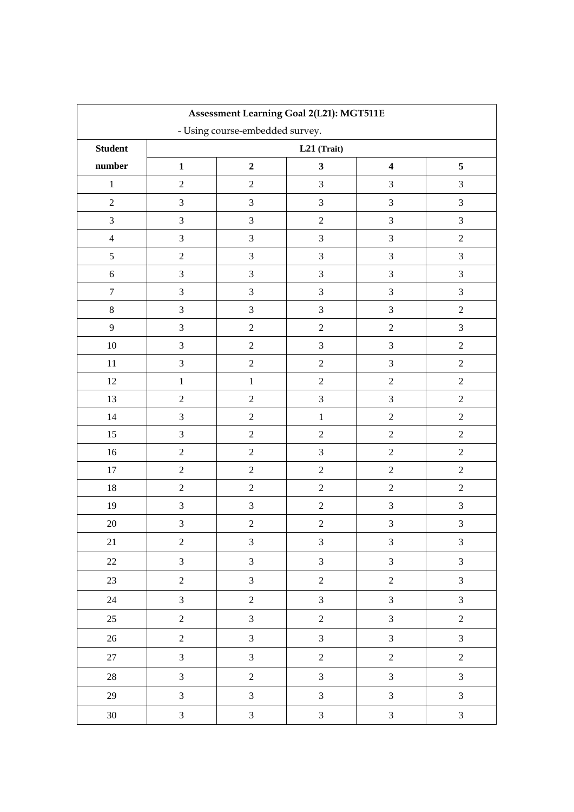| Assessment Learning Goal 2(L21): MGT511E |                         |                                 |                             |                             |                             |
|------------------------------------------|-------------------------|---------------------------------|-----------------------------|-----------------------------|-----------------------------|
|                                          |                         | - Using course-embedded survey. |                             |                             |                             |
| <b>Student</b>                           |                         |                                 | $\mathbf{L21}$ (Trait)      |                             |                             |
| number                                   | $\mathbf{1}$            | $\boldsymbol{2}$                | $\mathbf{3}$                | $\boldsymbol{4}$            | $\sqrt{5}$                  |
| $\mathbf{1}$                             | $\boldsymbol{2}$        | $\boldsymbol{2}$                | $\mathfrak{Z}$              | $\mathfrak{Z}$              | $\ensuremath{\mathfrak{Z}}$ |
| $\sqrt{2}$                               | $\overline{3}$          | $\overline{3}$                  | $\mathfrak{Z}$              | $\mathfrak{Z}$              | $\mathfrak{Z}$              |
| $\mathfrak{Z}$                           | $\overline{3}$          | $\mathfrak{Z}$                  | $\sqrt{2}$                  | $\mathfrak{Z}$              | $\mathfrak{Z}$              |
| $\overline{4}$                           | $\overline{3}$          | $\overline{3}$                  | $\mathfrak{Z}$              | $\sqrt{3}$                  | $\sqrt{2}$                  |
| $\sqrt{5}$                               | $\sqrt{2}$              | $\mathfrak{Z}$                  | $\mathfrak{Z}$              | $\sqrt{3}$                  | $\ensuremath{\mathfrak{Z}}$ |
| $\sqrt{6}$                               | 3                       | $\mathfrak{Z}$                  | $\mathfrak{Z}$              | $\mathfrak 3$               | $\mathfrak 3$               |
| $\boldsymbol{7}$                         | 3                       | $\overline{3}$                  | $\overline{3}$              | $\mathfrak{Z}$              | $\overline{3}$              |
| $\,8\,$                                  | $\overline{3}$          | $\overline{3}$                  | $\mathfrak 3$               | $\mathfrak{Z}$              | $\sqrt{2}$                  |
| $\overline{9}$                           | $\overline{3}$          | $\sqrt{2}$                      | $\overline{2}$              | $\boldsymbol{2}$            | $\mathfrak 3$               |
| 10                                       | $\overline{\mathbf{3}}$ | $\boldsymbol{2}$                | $\ensuremath{\mathfrak{Z}}$ | $\sqrt{3}$                  | $\sqrt{2}$                  |
| $11\,$                                   | 3                       | $\sqrt{2}$                      | $\sqrt{2}$                  | $\mathfrak 3$               | $\sqrt{2}$                  |
| $12\,$                                   | $\,1\,$                 | $\,1$                           | $\overline{2}$              | $\sqrt{2}$                  | $\sqrt{2}$                  |
| 13                                       | $\sqrt{2}$              | $\boldsymbol{2}$                | $\mathfrak{Z}$              | $\mathfrak{Z}$              | $\sqrt{2}$                  |
| 14                                       | $\overline{3}$          | $\overline{2}$                  | $\mathbf 1$                 | $\sqrt{2}$                  | $\sqrt{2}$                  |
| 15                                       | $\overline{3}$          | $\boldsymbol{2}$                | $\sqrt{2}$                  | $\sqrt{2}$                  | $\sqrt{2}$                  |
| 16                                       | $\sqrt{2}$              | $\boldsymbol{2}$                | $\mathfrak{Z}$              | $\sqrt{2}$                  | $\sqrt{2}$                  |
| $17\,$                                   | $\sqrt{2}$              | $\boldsymbol{2}$                | $\overline{2}$              | $\sqrt{2}$                  | $\sqrt{2}$                  |
| $18\,$                                   | $\boldsymbol{2}$        | $\boldsymbol{2}$                | $\overline{2}$              | $\sqrt{2}$                  | $\sqrt{2}$                  |
| 19                                       | 3                       | $\overline{3}$                  | $\sqrt{2}$                  | $\sqrt{3}$                  | $\mathfrak 3$               |
| $20\,$                                   | $\mathfrak{Z}$          | $\sqrt{2}$                      | $\sqrt{2}$                  | $\ensuremath{\mathfrak{Z}}$ | $\overline{3}$              |
| 21                                       | $\sqrt{2}$              | 3                               | $\mathfrak{Z}$              | $\mathfrak{Z}$              | $\mathfrak{Z}$              |
| $22\,$                                   | $\mathfrak{Z}$          | $\mathfrak{Z}$                  | $\mathfrak{Z}$              | $\mathfrak{Z}$              | $\mathfrak{Z}$              |
| 23                                       | $\sqrt{2}$              | $\overline{3}$                  | $\sqrt{2}$                  | $\sqrt{2}$                  | $\mathfrak{Z}$              |
| $24\,$                                   | $\overline{3}$          | $\overline{2}$                  | $\mathfrak{Z}$              | $\overline{3}$              | $\overline{3}$              |
| $25\,$                                   | $\sqrt{2}$              | $\mathfrak{Z}$                  | $\sqrt{2}$                  | $\mathfrak{Z}$              | $\sqrt{2}$                  |
| $26\,$                                   | $\boldsymbol{2}$        | $\overline{3}$                  | $\mathfrak{Z}$              | $\mathfrak{Z}$              | $\overline{3}$              |
| $27\,$                                   | $\overline{3}$          | $\overline{3}$                  | $\overline{2}$              | $\overline{2}$              | $\sqrt{2}$                  |
| $28\,$                                   | $\mathfrak{Z}$          | $\overline{2}$                  | $\mathfrak{Z}$              | $\mathfrak{Z}$              | $\overline{3}$              |
| $29\,$                                   | $\overline{3}$          | $\overline{3}$                  | $\mathfrak{Z}$              | $\mathfrak{Z}$              | $\mathfrak{Z}$              |
| $30\,$                                   | $\mathfrak{Z}$          | $\overline{3}$                  | $\mathfrak{Z}$              | $\mathfrak{Z}$              | $\overline{3}$              |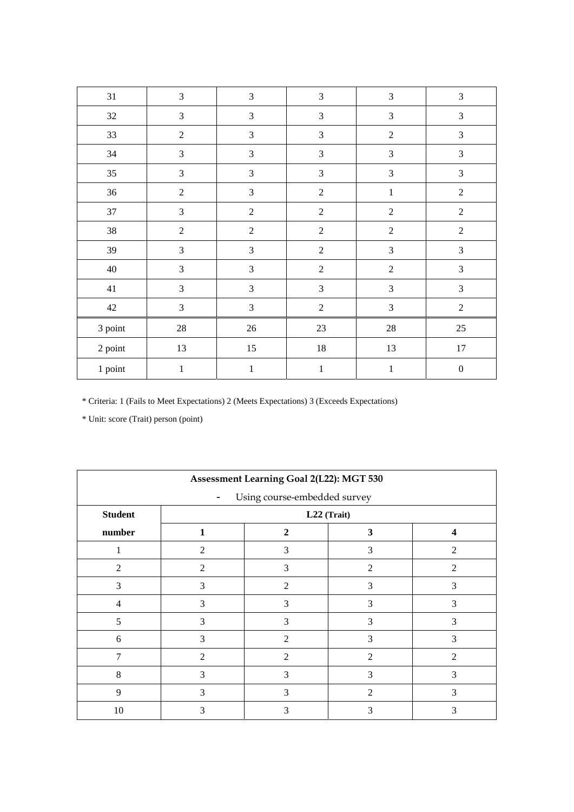| 31      | 3              | 3              | 3              | $\mathfrak{Z}$ | 3                |
|---------|----------------|----------------|----------------|----------------|------------------|
| $32\,$  | $\overline{3}$ | $\mathfrak{Z}$ | $\mathfrak{Z}$ | $\mathfrak{Z}$ | $\mathfrak{Z}$   |
| 33      | $\overline{2}$ | $\overline{3}$ | 3              | $\overline{2}$ | 3                |
| 34      | $\mathfrak{Z}$ | $\mathfrak{Z}$ | $\mathfrak{Z}$ | $\mathfrak 3$  | 3                |
| 35      | 3              | $\mathfrak{Z}$ | 3              | $\mathfrak{Z}$ | $\mathfrak{Z}$   |
| 36      | $\sqrt{2}$     | $\mathfrak{Z}$ | $\sqrt{2}$     | $\mathbf 1$    | $\overline{2}$   |
| 37      | 3              | $\overline{2}$ | $\overline{2}$ | $\sqrt{2}$     | $\sqrt{2}$       |
| $38\,$  | $\overline{2}$ | $\overline{2}$ | $\sqrt{2}$     | $\sqrt{2}$     | $\overline{2}$   |
| 39      | $\mathfrak{Z}$ | $\mathfrak{Z}$ | $\sqrt{2}$     | $\mathfrak{Z}$ | $\mathfrak{Z}$   |
| $40\,$  | 3              | $\mathfrak{Z}$ | $\overline{2}$ | $\overline{2}$ | 3                |
| $41\,$  | $\mathfrak{Z}$ | $\mathfrak{Z}$ | $\mathfrak{Z}$ | $\mathfrak 3$  | 3                |
| 42      | $\mathfrak{Z}$ | $\mathfrak{Z}$ | $\sqrt{2}$     | $\mathfrak{Z}$ | $\overline{2}$   |
| 3 point | $28\,$         | $26\,$         | $23\,$         | $28\,$         | $25\,$           |
| 2 point | 13             | 15             | $18\,$         | 13             | 17               |
| 1 point | $\,1\,$        | $\mathbf{1}$   | $\mathbf{1}$   | $\,1\,$        | $\boldsymbol{0}$ |

| Assessment Learning Goal 2(L22): MGT 530 |                                                          |                |                |                |  |
|------------------------------------------|----------------------------------------------------------|----------------|----------------|----------------|--|
|                                          | Using course-embedded survey<br>$\overline{\phantom{0}}$ |                |                |                |  |
| <b>Student</b>                           |                                                          |                | $L22$ (Trait)  |                |  |
| number                                   | 1                                                        | $\mathbf{2}$   | 3              | 4              |  |
|                                          | $\overline{2}$                                           | 3              | 3              | $\mathfrak{D}$ |  |
| $\mathcal{D}_{\mathcal{A}}$              | $\mathfrak{D}$                                           | 3              | $\mathfrak{D}$ | $\mathfrak{D}$ |  |
| 3                                        | 3                                                        | $\mathfrak{D}$ | 3              | 3              |  |
| $\overline{4}$                           | 3                                                        | 3              | 3              | 3              |  |
| 5                                        | 3                                                        | 3              | 3              | 3              |  |
| 6                                        | 3                                                        | $\overline{2}$ | 3              | 3              |  |
| 7                                        | $\overline{2}$                                           | $\overline{2}$ | $\overline{c}$ | 2              |  |
| 8                                        | 3                                                        | 3              | 3              | 3              |  |
| 9                                        | 3                                                        | 3              | $\mathfrak{D}$ | 3              |  |
| 10                                       | 3                                                        | 3              | 3              | 3              |  |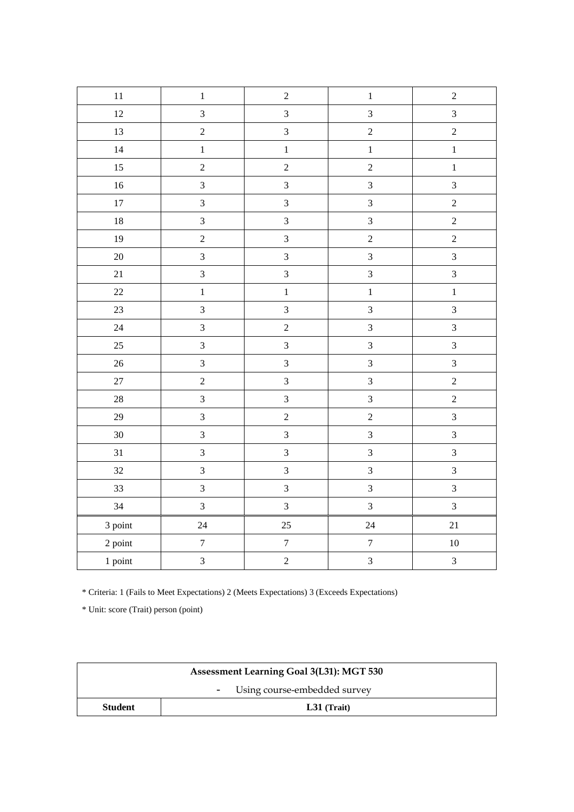| $11\,$  | $\,1\,$                 | $\overline{2}$   | $\,1$                   | $\boldsymbol{2}$ |
|---------|-------------------------|------------------|-------------------------|------------------|
| 12      | $\overline{\mathbf{3}}$ | $\overline{3}$   | $\overline{\mathbf{3}}$ | $\overline{3}$   |
| 13      | $\overline{c}$          | $\overline{3}$   | $\overline{c}$          | $\overline{c}$   |
| 14      | $\,1$                   | $\,1$            | $\mathbf{1}$            | $\,1$            |
| 15      | $\overline{c}$          | $\sqrt{2}$       | $\overline{c}$          | $\,1$            |
| 16      | $\overline{\mathbf{3}}$ | $\overline{3}$   | $\overline{\mathbf{3}}$ | $\overline{3}$   |
| 17      | $\overline{\mathbf{3}}$ | $\overline{3}$   | $\overline{3}$          | $\boldsymbol{2}$ |
| $18\,$  | $\overline{3}$          | $\mathfrak{Z}$   | $\overline{\mathbf{3}}$ | $\boldsymbol{2}$ |
| 19      | $\overline{c}$          | $\mathfrak{Z}$   | $\overline{c}$          | $\sqrt{2}$       |
| $20\,$  | $\overline{\mathbf{3}}$ | $\mathfrak{Z}$   | $\overline{3}$          | $\overline{3}$   |
| 21      | $\overline{3}$          | $\overline{3}$   | $\overline{3}$          | $\overline{3}$   |
| 22      | $\mathbf{1}$            | $\,1$            | $\mathbf{1}$            | $\,1$            |
| 23      | $\overline{3}$          | $\mathfrak{Z}$   | $\overline{3}$          | $\mathfrak{Z}$   |
| 24      | 3                       | $\sqrt{2}$       | $\overline{\mathbf{3}}$ | $\mathfrak{Z}$   |
| 25      | $\overline{3}$          | $\overline{3}$   | $\overline{\mathbf{3}}$ | $\overline{3}$   |
| 26      | $\overline{3}$          | $\overline{3}$   | $\overline{\mathbf{3}}$ | $\overline{3}$   |
| 27      | $\overline{c}$          | $\overline{3}$   | $\overline{\mathbf{3}}$ | $\overline{2}$   |
| 28      | $\overline{\mathbf{3}}$ | $\overline{3}$   | $\overline{3}$          | $\overline{2}$   |
| 29      | $\overline{3}$          | $\sqrt{2}$       | $\overline{c}$          | $\overline{3}$   |
| 30      | $\overline{3}$          | $\overline{3}$   | $\overline{3}$          | $\overline{3}$   |
| 31      | $\overline{\mathbf{3}}$ | $\overline{3}$   | $\overline{\mathbf{3}}$ | $\overline{3}$   |
| 32      | $\overline{\mathbf{3}}$ | $\overline{3}$   | $\overline{3}$          | $\overline{3}$   |
| 33      | $\overline{3}$          | $\overline{3}$   | $\overline{3}$          | $\overline{3}$   |
| 34      | $\overline{3}$          | $\overline{3}$   | $\overline{3}$          | $\overline{3}$   |
| 3 point | 24                      | 25               | 24                      | 21               |
| 2 point | $\overline{7}$          | $\boldsymbol{7}$ | $\overline{7}$          | $10\,$           |
| 1 point | $\overline{\mathbf{3}}$ | $\overline{2}$   | $\overline{3}$          | $\overline{3}$   |

| <b>Assessment Learning Goal 3(L31): MGT 530</b> |  |  |  |
|-------------------------------------------------|--|--|--|
| - Using course-embedded survey                  |  |  |  |
| <b>Student</b><br>$L31$ (Trait)                 |  |  |  |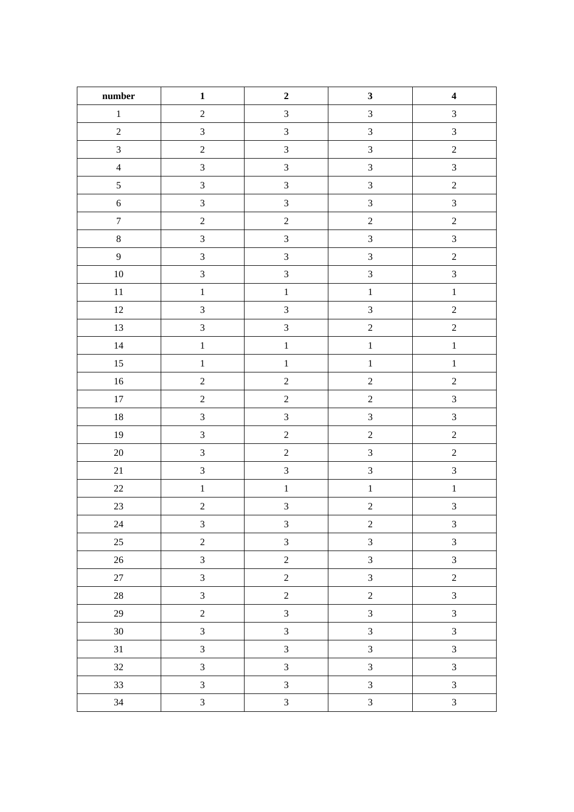| $\bf number$     | $\mathbf{1}$            | $\boldsymbol{2}$ | $\mathbf{3}$                | $\overline{\mathbf{4}}$ |
|------------------|-------------------------|------------------|-----------------------------|-------------------------|
| $\,1\,$          | $\overline{c}$          | $\mathfrak{Z}$   | $\overline{\mathbf{3}}$     | $\overline{\mathbf{3}}$ |
| $\sqrt{2}$       | $\overline{3}$          | $\mathfrak{Z}$   | $\overline{3}$              | $\overline{3}$          |
| $\mathfrak{Z}$   | $\overline{c}$          | $\mathfrak{Z}$   | $\overline{\mathbf{3}}$     | $\overline{c}$          |
| $\overline{4}$   | $\overline{3}$          | $\overline{3}$   | $\overline{3}$              | $\overline{3}$          |
| $\mathfrak{S}$   | $\overline{3}$          | $\overline{3}$   | $\overline{\mathbf{3}}$     | $\boldsymbol{2}$        |
| $\sqrt{6}$       | $\overline{3}$          | $\overline{3}$   | $\overline{3}$              | $\overline{3}$          |
| $\boldsymbol{7}$ | $\overline{2}$          | $\sqrt{2}$       | $\overline{c}$              | $\overline{2}$          |
| $\,8\,$          | $\overline{\mathbf{3}}$ | $\mathfrak{Z}$   | $\overline{3}$              | $\overline{3}$          |
| $\boldsymbol{9}$ | $\overline{3}$          | $\overline{3}$   | $\overline{3}$              | $\overline{2}$          |
| $10\,$           | $\overline{3}$          | $\overline{3}$   | $\overline{3}$              | $\overline{3}$          |
| $11\,$           | $\,1$                   | $\mathbf{1}$     | $\mathbf{1}$                | $\,1$                   |
| $12\,$           | $\overline{\mathbf{3}}$ | $\mathfrak{Z}$   | $\overline{\mathbf{3}}$     | $\overline{c}$          |
| $13\,$           | $\overline{\mathbf{3}}$ | $\mathfrak{Z}$   | $\overline{c}$              | $\overline{c}$          |
| 14               | $\mathbf 1$             | $\,1$            | $\mathbf 1$                 | $\mathbf{1}$            |
| 15               | $\overline{1}$          | $\,1\,$          | $\mathbf{1}$                | $\mathbf{1}$            |
| $16\,$           | $\overline{c}$          | $\sqrt{2}$       | $\overline{c}$              | $\overline{c}$          |
| $17\,$           | $\overline{c}$          | $\sqrt{2}$       | $\sqrt{2}$                  | $\overline{3}$          |
| $18\,$           | $\overline{3}$          | $\mathfrak{Z}$   | $\overline{\mathbf{3}}$     | $\mathfrak{Z}$          |
| 19               | $\overline{3}$          | $\sqrt{2}$       | $\sqrt{2}$                  | $\overline{2}$          |
| 20               | $\overline{3}$          | $\overline{2}$   | $\overline{3}$              | $\overline{c}$          |
| $21\,$           | $\overline{3}$          | $\overline{3}$   | $\overline{3}$              | $\overline{3}$          |
| $22\,$           | $\mathbf{1}$            | $\mathbf{1}$     | $\mathbf{1}$                | $\mathbf{1}$            |
| $23\,$           | $\overline{c}$          | $\overline{3}$   | $\overline{c}$              | $\overline{\mathbf{3}}$ |
| $24\,$           | $\mathfrak{Z}$          | $\mathfrak{Z}$   | $\overline{c}$              | $\mathfrak{Z}$          |
| 25               | $\overline{c}$          | $\mathfrak{Z}$   | $\overline{3}$              | $\overline{3}$          |
| $26\,$           | $\overline{3}$          | $\overline{2}$   | $\ensuremath{\mathfrak{Z}}$ | $\overline{3}$          |
| $27\,$           | $\overline{3}$          | $\overline{2}$   | $\overline{3}$              | $\overline{2}$          |
| $28\,$           | $\overline{3}$          | $\overline{2}$   | $\sqrt{2}$                  | $\overline{\mathbf{3}}$ |
| 29               | $\overline{2}$          | $\overline{3}$   | $\mathfrak{Z}$              | $\overline{3}$          |
| $30\,$           | $\mathfrak{Z}$          | $\overline{3}$   | $\overline{3}$              | 3                       |
| $31\,$           | $\overline{3}$          | $\overline{3}$   | $\overline{3}$              | $\overline{3}$          |
| $32\,$           | $\overline{3}$          | $\overline{3}$   | $\mathfrak{Z}$              | $\overline{3}$          |
| 33               | $\mathfrak{Z}$          | $\overline{3}$   | $\mathfrak{Z}$              | $\overline{3}$          |
| 34               | $\mathfrak{Z}$          | $\mathfrak{Z}$   | $\overline{3}$              | $\overline{3}$          |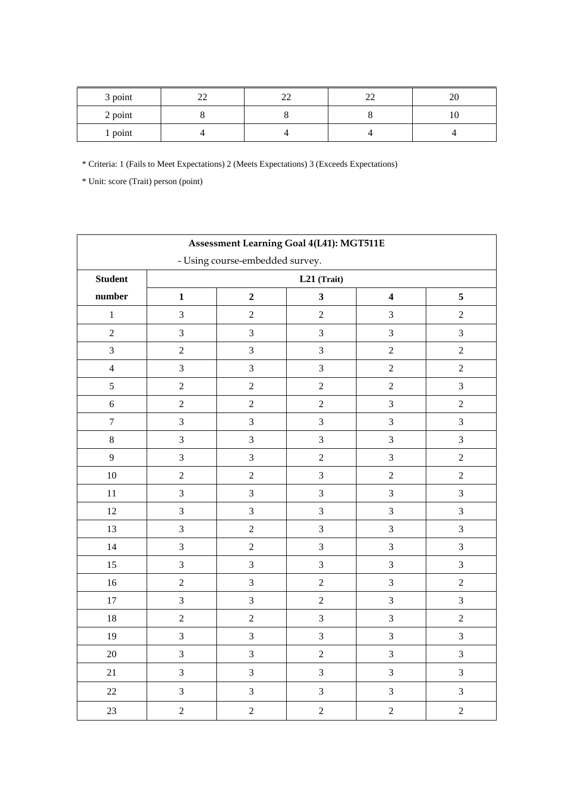| 3 point | ΩΩ<br>∠∠ | $\sim$<br>∠∠ | $\sim$<br>-- | or<br>ZU |
|---------|----------|--------------|--------------|----------|
| 2 point |          |              |              | 17       |
| 1 point |          |              |              |          |

| Assessment Learning Goal 4(L41): MGT511E |                                 |                  |                  |                         |                         |
|------------------------------------------|---------------------------------|------------------|------------------|-------------------------|-------------------------|
|                                          | - Using course-embedded survey. |                  |                  |                         |                         |
| <b>Student</b>                           |                                 |                  | $L21$ (Trait)    |                         |                         |
| number                                   | $\mathbf{1}$                    | $\overline{2}$   | $\mathbf{3}$     | $\overline{\mathbf{4}}$ | $\overline{\mathbf{5}}$ |
| $\,1$                                    | 3                               | $\overline{2}$   | $\overline{2}$   | 3                       | $\overline{2}$          |
| $\overline{2}$                           | 3                               | $\overline{3}$   | $\overline{3}$   | $\mathfrak{Z}$          | $\overline{3}$          |
| $\mathfrak{Z}$                           | $\boldsymbol{2}$                | $\overline{3}$   | $\overline{3}$   | $\overline{2}$          | $\sqrt{2}$              |
| $\overline{4}$                           | 3                               | $\overline{3}$   | $\overline{3}$   | $\sqrt{2}$              | $\sqrt{2}$              |
| 5                                        | $\overline{2}$                  | $\overline{2}$   | $\overline{2}$   | $\overline{2}$          | $\overline{3}$          |
| $\sqrt{6}$                               | $\sqrt{2}$                      | $\sqrt{2}$       | $\sqrt{2}$       | $\mathfrak{Z}$          | $\sqrt{2}$              |
| $\boldsymbol{7}$                         | $\overline{3}$                  | $\overline{3}$   | $\overline{3}$   | $\overline{3}$          | $\overline{3}$          |
| $\,8\,$                                  | $\overline{3}$                  | $\overline{3}$   | $\overline{3}$   | $\overline{3}$          | $\mathfrak 3$           |
| $\mathbf{9}$                             | $\overline{3}$                  | $\overline{3}$   | $\boldsymbol{2}$ | $\overline{3}$          | $\overline{2}$          |
| 10                                       | $\overline{2}$                  | $\sqrt{2}$       | $\overline{3}$   | $\sqrt{2}$              | $\sqrt{2}$              |
| $11\,$                                   | $\overline{\mathbf{3}}$         | $\overline{3}$   | $\overline{3}$   | $\overline{3}$          | $\mathfrak{Z}$          |
| 12                                       | $\overline{3}$                  | $\overline{3}$   | 3                | $\overline{3}$          | $\overline{3}$          |
| 13                                       | $\overline{3}$                  | $\overline{2}$   | 3                | $\overline{3}$          | $\overline{3}$          |
| 14                                       | 3                               | $\overline{2}$   | $\overline{3}$   | $\overline{3}$          | $\mathfrak{Z}$          |
| 15                                       | $\overline{3}$                  | $\overline{3}$   | $\overline{3}$   | $\overline{3}$          | $\overline{3}$          |
| 16                                       | $\overline{c}$                  | $\overline{3}$   | $\overline{2}$   | $\overline{3}$          | $\sqrt{2}$              |
| $17\,$                                   | 3                               | $\overline{3}$   | $\boldsymbol{2}$ | 3                       | $\overline{3}$          |
| $18\,$                                   | $\boldsymbol{2}$                | $\boldsymbol{2}$ | $\mathfrak 3$    | $\mathfrak{Z}$          | $\sqrt{2}$              |
| 19                                       | $\overline{3}$                  | $\overline{3}$   | $\overline{3}$   | $\overline{3}$          | $\overline{3}$          |
| $20\,$                                   | $\overline{\mathbf{3}}$         | $\overline{3}$   | $\overline{2}$   | 3                       | $\mathfrak{Z}$          |
| $21\,$                                   | $\mathfrak{Z}$                  | $\mathfrak{Z}$   | $\mathfrak{Z}$   | $\mathfrak{Z}$          | $\mathfrak 3$           |
| $22\,$                                   | $\overline{3}$                  | $\mathfrak{Z}$   | $\mathfrak{Z}$   | $\mathfrak{Z}$          | $\mathfrak 3$           |
| 23                                       | $\overline{c}$                  | $\overline{2}$   | $\sqrt{2}$       | $\overline{c}$          | $\overline{c}$          |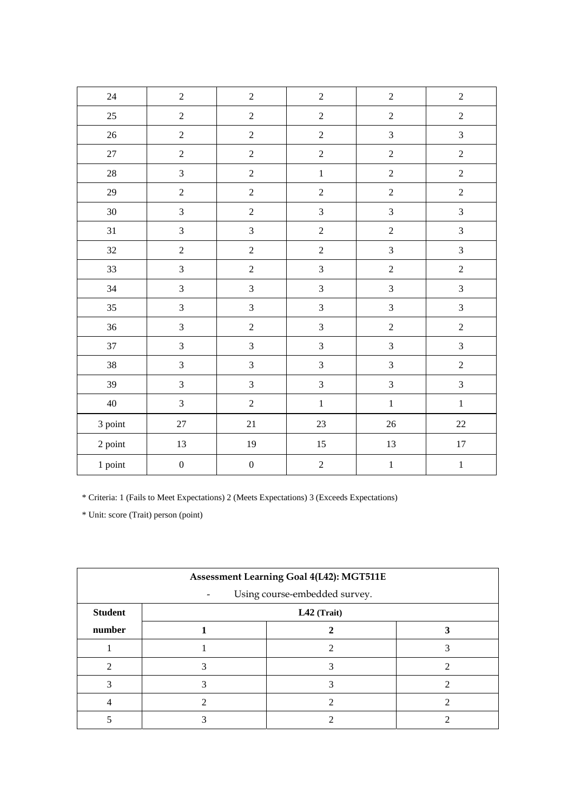| 24      | $\overline{2}$   | $\overline{2}$   | $\overline{2}$ | $\overline{2}$              | $\sqrt{2}$     |
|---------|------------------|------------------|----------------|-----------------------------|----------------|
| 25      | $\sqrt{2}$       | $\overline{2}$   | $\overline{2}$ | $\boldsymbol{2}$            | $\sqrt{2}$     |
| $26\,$  | $\sqrt{2}$       | $\overline{2}$   | $\sqrt{2}$     | $\overline{3}$              | $\mathfrak 3$  |
| $27\,$  | $\sqrt{2}$       | $\sqrt{2}$       | $\overline{2}$ | $\sqrt{2}$                  | $\sqrt{2}$     |
| $28\,$  | $\overline{3}$   | $\overline{2}$   | $\,1\,$        | $\overline{c}$              | $\sqrt{2}$     |
| 29      | $\boldsymbol{2}$ | $\overline{2}$   | $\sqrt{2}$     | $\sqrt{2}$                  | $\sqrt{2}$     |
| $30\,$  | $\overline{3}$   | $\overline{2}$   | $\overline{3}$ | $\mathfrak{Z}$              | $\overline{3}$ |
| 31      | $\overline{3}$   | $\overline{3}$   | $\overline{2}$ | $\boldsymbol{2}$            | $\overline{3}$ |
| 32      | $\sqrt{2}$       | $\sqrt{2}$       | $\sqrt{2}$     | $\mathfrak{Z}$              | $\mathfrak{Z}$ |
| 33      | $\overline{3}$   | $\overline{2}$   | $\sqrt{3}$     | $\boldsymbol{2}$            | $\overline{2}$ |
| 34      | $\overline{3}$   | $\overline{3}$   | $\overline{3}$ | $\overline{3}$              | $\overline{3}$ |
| $35\,$  | $\overline{3}$   | $\mathfrak{Z}$   | $\mathfrak{Z}$ | $\ensuremath{\mathfrak{Z}}$ | $\overline{3}$ |
| 36      | $\overline{3}$   | $\overline{2}$   | $\overline{3}$ | $\overline{2}$              | $\overline{2}$ |
| 37      | 3                | $\overline{3}$   | $\overline{3}$ | $\overline{3}$              | $\overline{3}$ |
| $38\,$  | $\mathfrak{Z}$   | $\mathfrak{Z}$   | $\mathfrak{Z}$ | $\mathfrak{Z}$              | $\sqrt{2}$     |
| 39      | $\overline{3}$   | $\mathfrak{Z}$   | $\mathfrak{Z}$ | $\mathfrak{Z}$              | $\mathfrak 3$  |
| $40\,$  | $\overline{3}$   | $\overline{2}$   | $\,1\,$        | $\,1$                       | $\,1\,$        |
| 3 point | $27\,$           | $21\,$           | $23\,$         | $26\,$                      | 22             |
| 2 point | 13               | 19               | $15\,$         | $13\,$                      | $17\,$         |
| 1 point | $\boldsymbol{0}$ | $\boldsymbol{0}$ | $\overline{2}$ | $\,1$                       | $\,1\,$        |

| Assessment Learning Goal 4(L42): MGT511E |                               |  |  |  |  |
|------------------------------------------|-------------------------------|--|--|--|--|
|                                          | Using course-embedded survey. |  |  |  |  |
| <b>Student</b><br>L42 (Trait)            |                               |  |  |  |  |
| number                                   |                               |  |  |  |  |
|                                          |                               |  |  |  |  |
|                                          |                               |  |  |  |  |
|                                          |                               |  |  |  |  |
|                                          |                               |  |  |  |  |
|                                          |                               |  |  |  |  |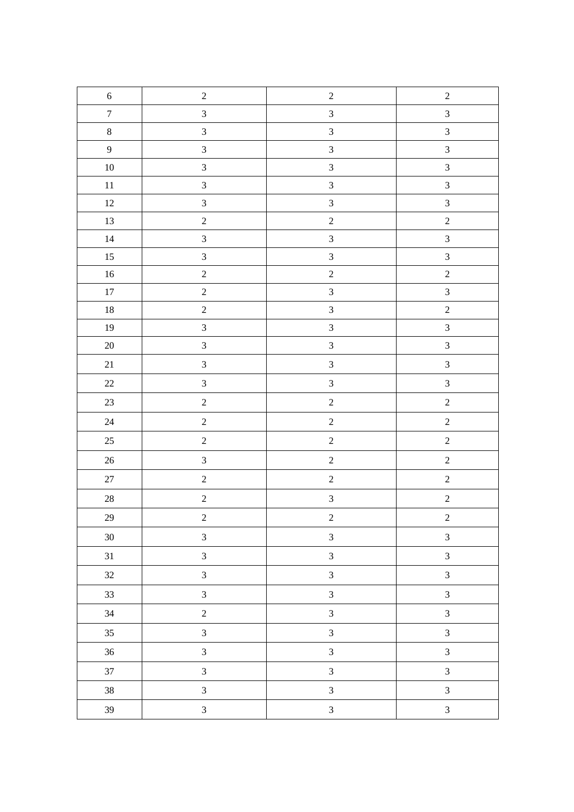| $\sqrt{6}$       | $\sqrt{2}$              | $\sqrt{2}$              | $\boldsymbol{2}$        |
|------------------|-------------------------|-------------------------|-------------------------|
| $\boldsymbol{7}$ | $\overline{\mathbf{3}}$ | $\overline{3}$          | $\overline{\mathbf{3}}$ |
| $\,8$            | $\overline{3}$          | $\overline{3}$          | $\overline{\mathbf{3}}$ |
| $\overline{9}$   | $\overline{3}$          | $\overline{3}$          | $\overline{\mathbf{3}}$ |
| $10\,$           | $\overline{3}$          | $\overline{3}$          | $\overline{3}$          |
| $11\,$           | $\overline{3}$          | $\overline{3}$          | $\overline{\mathbf{3}}$ |
| $12\,$           | $\mathfrak{Z}$          | $\mathfrak{Z}$          | $\mathfrak{Z}$          |
| $13\,$           | $\overline{c}$          | $\overline{c}$          | $\overline{c}$          |
| $14\,$           | $\overline{3}$          | $\mathfrak{Z}$          | $\overline{3}$          |
| 15               | $\overline{3}$          | $\overline{3}$          | $\overline{\mathbf{3}}$ |
| $16\,$           | $\overline{c}$          | $\overline{c}$          | $\overline{c}$          |
| $17\,$           | $\overline{c}$          | $\overline{\mathbf{3}}$ | $\overline{\mathbf{3}}$ |
| $18\,$           | $\overline{c}$          | $\overline{\mathbf{3}}$ | $\overline{c}$          |
| $19\,$           | $\overline{3}$          | $\overline{3}$          | $\overline{3}$          |
| $20\,$           | $\overline{3}$          | $\overline{3}$          | $\overline{\mathbf{3}}$ |
| $21\,$           | $\overline{3}$          | $\overline{3}$          | $\overline{\mathbf{3}}$ |
| $22\,$           | $\overline{3}$          | $\overline{3}$          | $\overline{\mathbf{3}}$ |
| $23\,$           | $\overline{c}$          | $\overline{c}$          | $\overline{c}$          |
| $24\,$           | $\sqrt{2}$              | $\overline{c}$          | $\overline{c}$          |
| $25\,$           | $\overline{c}$          | $\overline{c}$          | $\overline{c}$          |
| $26\,$           | $\mathfrak{Z}$          | $\boldsymbol{2}$        | $\overline{c}$          |
| $27\,$           | $\sqrt{2}$              | $\sqrt{2}$              | $\sqrt{2}$              |
| $28\,$           | $\overline{c}$          | $\overline{\mathbf{3}}$ | $\overline{c}$          |
| 29               | $\overline{c}$          | $\overline{c}$          | $\overline{c}$          |
| $30\,$           | $\overline{3}$          | $\overline{3}$          | $\overline{3}$          |
| $31\,$           | $\mathfrak{Z}$          | $\overline{3}$          | $\mathfrak{Z}$          |
| 32               | $\mathfrak{Z}$          | $\overline{3}$          | $\mathfrak{Z}$          |
| 33               | $\mathfrak{Z}$          | $\overline{3}$          | $\mathfrak{Z}$          |
| 34               | $\sqrt{2}$              | $\overline{3}$          | $\mathfrak{Z}$          |
| 35               | $\overline{3}$          | $\overline{3}$          | $\mathfrak{Z}$          |
| 36               | $\mathfrak{Z}$          | $\overline{3}$          | $\overline{3}$          |
| 37               | $\overline{3}$          | $\overline{3}$          | $\mathfrak{Z}$          |
| $38\,$           | $\mathfrak{Z}$          | $\overline{3}$          | $\overline{3}$          |
| 39               | $\overline{\mathbf{3}}$ | $\overline{3}$          | $\mathfrak{Z}$          |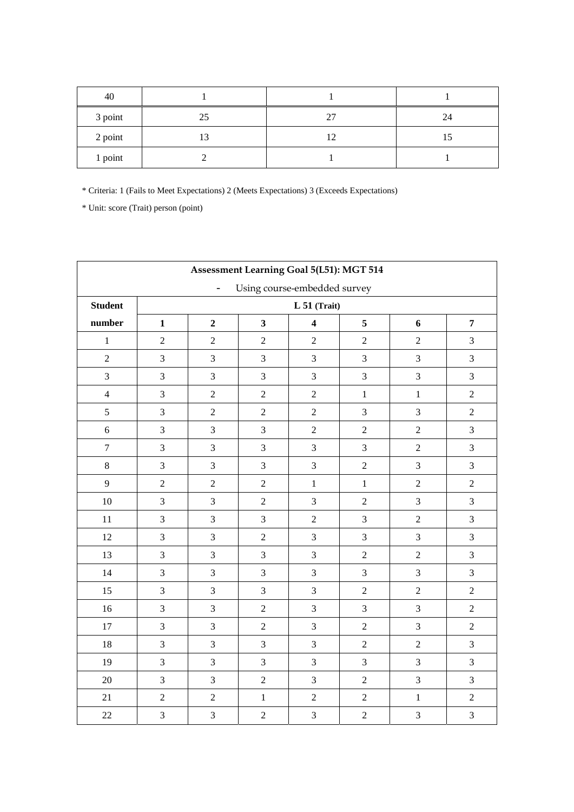| 40      |        |    |    |
|---------|--------|----|----|
| 3 point | 25     | 27 | 24 |
| 2 point | $\sim$ |    |    |
| 1 point |        |    |    |

| Assessment Learning Goal 5(L51): MGT 514                 |                                                                                                               |                  |                |                |                |                |                  |  |  |  |
|----------------------------------------------------------|---------------------------------------------------------------------------------------------------------------|------------------|----------------|----------------|----------------|----------------|------------------|--|--|--|
| Using course-embedded survey<br>$\overline{\phantom{a}}$ |                                                                                                               |                  |                |                |                |                |                  |  |  |  |
| <b>Student</b>                                           | $L 51$ (Trait)                                                                                                |                  |                |                |                |                |                  |  |  |  |
| number                                                   | $\overline{\mathbf{4}}$<br>5<br>$\mathbf{1}$<br>$\mathbf 2$<br>$\overline{\mathbf{3}}$<br>$\overline{7}$<br>6 |                  |                |                |                |                |                  |  |  |  |
| $\,1\,$                                                  | $\overline{2}$                                                                                                | $\boldsymbol{2}$ | $\overline{2}$ | $\overline{c}$ | $\overline{2}$ | $\sqrt{2}$     | $\mathfrak{Z}$   |  |  |  |
| $\sqrt{2}$                                               | 3                                                                                                             | $\mathfrak{Z}$   | $\overline{3}$ | 3              | $\overline{3}$ | $\overline{3}$ | $\mathfrak{Z}$   |  |  |  |
| $\overline{3}$                                           | 3                                                                                                             | 3                | 3              | 3              | $\overline{3}$ | $\overline{3}$ | $\overline{3}$   |  |  |  |
| $\overline{4}$                                           | 3                                                                                                             | $\sqrt{2}$       | $\overline{2}$ | $\sqrt{2}$     | $\mathbf{1}$   | $\mathbf 1$    | $\sqrt{2}$       |  |  |  |
| 5                                                        | $\mathfrak{Z}$                                                                                                | $\sqrt{2}$       | $\sqrt{2}$     | $\sqrt{2}$     | $\overline{3}$ | $\mathfrak{Z}$ | $\sqrt{2}$       |  |  |  |
| $\sqrt{6}$                                               | 3                                                                                                             | $\mathfrak{Z}$   | $\mathfrak{Z}$ | $\sqrt{2}$     | $\sqrt{2}$     | $\sqrt{2}$     | $\mathfrak 3$    |  |  |  |
| $\boldsymbol{7}$                                         | $\overline{3}$                                                                                                | 3                | $\overline{3}$ | 3              | $\overline{3}$ | $\sqrt{2}$     | $\mathfrak{Z}$   |  |  |  |
| $8\,$                                                    | 3                                                                                                             | 3                | 3              | $\mathfrak{Z}$ | $\overline{2}$ | 3              | $\mathfrak{Z}$   |  |  |  |
| 9                                                        | $\sqrt{2}$                                                                                                    | $\sqrt{2}$       | $\overline{2}$ | $\mathbf 1$    | $\mathbf{1}$   | $\sqrt{2}$     | $\boldsymbol{2}$ |  |  |  |
| 10                                                       | $\overline{3}$                                                                                                | $\mathfrak{Z}$   | $\overline{2}$ | 3              | $\overline{2}$ | $\overline{3}$ | $\overline{3}$   |  |  |  |
| $11\,$                                                   | 3                                                                                                             | 3                | 3              | $\overline{c}$ | $\overline{3}$ | $\sqrt{2}$     | $\mathfrak{Z}$   |  |  |  |
| 12                                                       | 3                                                                                                             | $\mathfrak{Z}$   | $\overline{2}$ | 3              | $\overline{3}$ | $\overline{3}$ | $\overline{3}$   |  |  |  |
| 13                                                       | 3                                                                                                             | $\mathfrak 3$    | 3              | $\mathfrak{Z}$ | $\overline{2}$ | $\sqrt{2}$     | $\mathfrak{Z}$   |  |  |  |
| 14                                                       | 3                                                                                                             | 3                | $\overline{3}$ | 3              | $\overline{3}$ | $\overline{3}$ | $\overline{3}$   |  |  |  |
| 15                                                       | 3                                                                                                             | $\mathfrak{Z}$   | $\overline{3}$ | 3              | $\overline{2}$ | $\sqrt{2}$     | $\sqrt{2}$       |  |  |  |
| 16                                                       | $\overline{3}$                                                                                                | $\mathfrak{Z}$   | $\overline{2}$ | $\overline{3}$ | $\overline{3}$ | $\overline{3}$ | $\overline{2}$   |  |  |  |
| $17\,$                                                   | $\overline{3}$                                                                                                | 3                | $\overline{2}$ | 3              | $\overline{2}$ | $\overline{3}$ | $\overline{2}$   |  |  |  |
| 18                                                       | 3                                                                                                             | $\mathfrak{Z}$   | $\overline{3}$ | 3              | $\overline{2}$ | $\sqrt{2}$     | 3                |  |  |  |
| 19                                                       | 3                                                                                                             | $\mathfrak{Z}$   | $\overline{3}$ | 3              | $\overline{3}$ | $\overline{3}$ | $\overline{3}$   |  |  |  |
| 20                                                       | 3                                                                                                             | $\mathfrak{Z}$   | $\overline{2}$ | 3              | $\overline{2}$ | $\overline{3}$ | 3                |  |  |  |
| 21                                                       | $\sqrt{2}$                                                                                                    | $\sqrt{2}$       | $\mathbf 1$    | $\sqrt{2}$     | $\sqrt{2}$     | $\mathbf 1$    | $\sqrt{2}$       |  |  |  |
| $22\,$                                                   | 3                                                                                                             | $\overline{3}$   | $\overline{2}$ | $\overline{3}$ | $\overline{2}$ | $\overline{3}$ | $\overline{3}$   |  |  |  |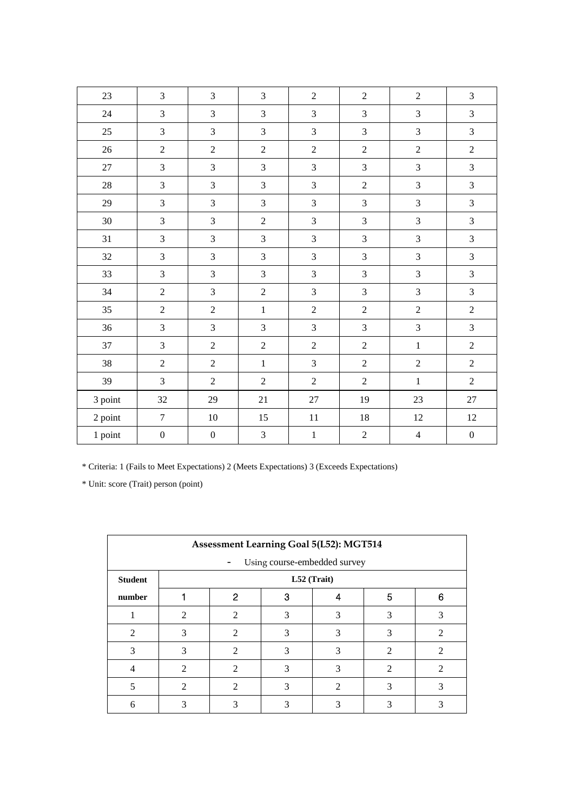| 23      | 3                | 3                | $\overline{3}$ | $\overline{2}$   | $\overline{2}$ | $\overline{2}$ | 3                |
|---------|------------------|------------------|----------------|------------------|----------------|----------------|------------------|
| $24\,$  | $\mathfrak{Z}$   | 3                | $\overline{3}$ | $\overline{3}$   | $\overline{3}$ | $\mathfrak{Z}$ | $\mathfrak{Z}$   |
| 25      | 3                | $\overline{3}$   | $\overline{3}$ | $\overline{3}$   | $\overline{3}$ | $\overline{3}$ | $\mathfrak{Z}$   |
| $26\,$  | $\overline{2}$   | $\sqrt{2}$       | $\overline{2}$ | $\boldsymbol{2}$ | $\sqrt{2}$     | $\sqrt{2}$     | $\boldsymbol{2}$ |
| $27\,$  | $\mathfrak{Z}$   | 3                | 3              | $\mathfrak{Z}$   | $\overline{3}$ | $\overline{3}$ | $\mathfrak{Z}$   |
| $28\,$  | 3                | $\overline{3}$   | $\overline{3}$ | 3                | $\overline{2}$ | $\overline{3}$ | $\overline{3}$   |
| 29      | 3                | 3                | $\overline{3}$ | $\mathfrak{Z}$   | $\overline{3}$ | $\overline{3}$ | $\overline{3}$   |
| $30\,$  | $\mathfrak{Z}$   | $\overline{3}$   | $\overline{2}$ | $\overline{3}$   | $\overline{3}$ | $\overline{3}$ | $\overline{3}$   |
| 31      | $\mathfrak{Z}$   | $\overline{3}$   | $\overline{3}$ | 3                | $\overline{3}$ | $\overline{3}$ | $\mathfrak{Z}$   |
| $32\,$  | $\mathfrak{Z}$   | $\mathfrak{Z}$   | 3              | $\sqrt{3}$       | 3              | $\overline{3}$ | $\mathfrak{Z}$   |
| 33      | $\mathfrak{Z}$   | $\overline{3}$   | 3              | $\mathfrak{Z}$   | 3              | $\mathfrak{Z}$ | $\mathfrak{Z}$   |
| 34      | $\sqrt{2}$       | $\mathfrak{Z}$   | $\sqrt{2}$     | $\mathfrak{Z}$   | 3              | 3              | $\mathfrak{Z}$   |
| 35      | $\overline{2}$   | $\sqrt{2}$       | $\mathbf{1}$   | $\sqrt{2}$       | $\overline{2}$ | $\overline{2}$ | $\overline{2}$   |
| 36      | $\mathfrak{Z}$   | $\overline{3}$   | $\overline{3}$ | $\mathfrak{Z}$   | $\overline{3}$ | $\overline{3}$ | 3                |
| 37      | $\mathfrak{Z}$   | $\boldsymbol{2}$ | $\overline{2}$ | $\sqrt{2}$       | $\overline{2}$ | $\mathbf 1$    | $\sqrt{2}$       |
| 38      | $\sqrt{2}$       | $\sqrt{2}$       | $\mathbf{1}$   | 3                | $\overline{2}$ | $\sqrt{2}$     | $\overline{2}$   |
| 39      | 3                | $\sqrt{2}$       | $\overline{2}$ | $\sqrt{2}$       | $\overline{2}$ | $\mathbf{1}$   | $\overline{2}$   |
| 3 point | 32               | $29\,$           | 21             | $27\,$           | 19             | 23             | $27\,$           |
| 2 point | $\tau$           | $10\,$           | 15             | $11\,$           | 18             | 12             | 12               |
| 1 point | $\boldsymbol{0}$ | $\boldsymbol{0}$ | $\overline{3}$ | $\mathbf{1}$     | $\overline{2}$ | $\overline{4}$ | $\boldsymbol{0}$ |

| <b>Assessment Learning Goal 5(L52): MGT514</b> |                             |                             |   |                |                             |                |  |  |  |
|------------------------------------------------|-----------------------------|-----------------------------|---|----------------|-----------------------------|----------------|--|--|--|
| Using course-embedded survey                   |                             |                             |   |                |                             |                |  |  |  |
| <b>Student</b>                                 |                             | L52 (Trait)                 |   |                |                             |                |  |  |  |
| number                                         |                             | 2<br>3<br>5<br>6<br>4       |   |                |                             |                |  |  |  |
|                                                | $\mathcal{D}_{\mathcal{L}}$ | $\mathcal{D}_{\mathcal{L}}$ | 3 | 3              | 3                           | 3              |  |  |  |
| $\mathfrak{D}$                                 | 3                           | $\mathfrak{D}$              | 3 | 3              | 3                           | $\mathfrak{D}$ |  |  |  |
| 3                                              | 3                           | $\mathcal{D}$               | 3 | 3              | $\mathcal{D}_{\mathcal{A}}$ | $\mathfrak{D}$ |  |  |  |
| 4                                              | $\mathfrak{D}$              | $\mathcal{D}_{\mathcal{L}}$ | 3 | 3              | $\mathcal{D}$               | 2              |  |  |  |
|                                                | $\mathfrak{D}$              | $\mathcal{D}_{\mathcal{L}}$ | 3 | $\mathfrak{D}$ | 3                           | 3              |  |  |  |
| 6                                              | 3                           | 3                           | 3 | 3              |                             |                |  |  |  |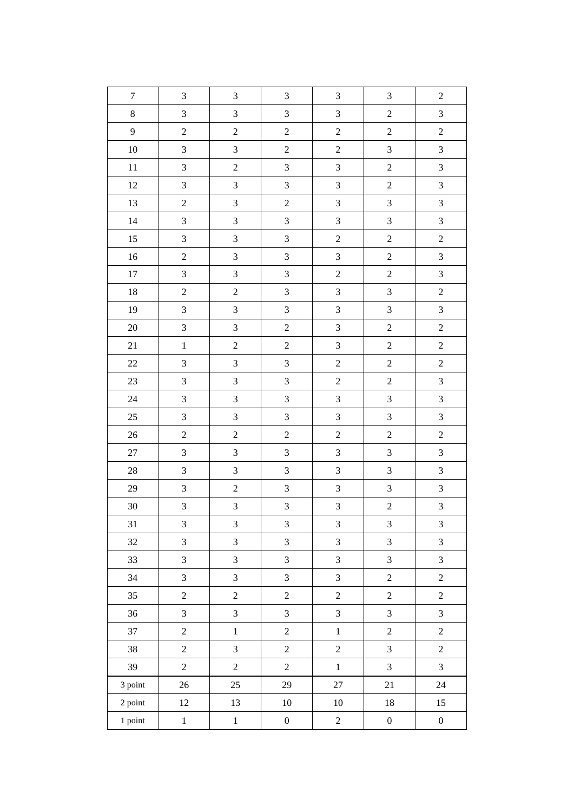| $\boldsymbol{7}$ | 3                       | 3                | $\mathfrak{Z}$          | $\mathfrak{Z}$ | 3                | $\sqrt{2}$              |
|------------------|-------------------------|------------------|-------------------------|----------------|------------------|-------------------------|
| $8\,$            | $\mathfrak{Z}$          | $\mathfrak{Z}$   | $\overline{3}$          | $\mathfrak{Z}$ | $\sqrt{2}$       | 3                       |
| $\mathbf{9}$     | $\boldsymbol{2}$        | $\sqrt{2}$       | $\sqrt{2}$              | $\overline{c}$ | $\sqrt{2}$       | $\overline{c}$          |
| $10\,$           | $\overline{3}$          | $\overline{3}$   | $\sqrt{2}$              | $\overline{c}$ | $\overline{3}$   | $\overline{\mathbf{3}}$ |
| $11\,$           | 3                       | $\sqrt{2}$       | $\mathfrak{Z}$          | $\mathfrak{Z}$ | $\sqrt{2}$       | 3                       |
| $12\,$           | $\overline{3}$          | 3                | 3                       | 3              | $\sqrt{2}$       | $\overline{\mathbf{3}}$ |
| 13               | $\sqrt{2}$              | $\mathfrak{Z}$   | $\sqrt{2}$              | $\sqrt{3}$     | $\overline{3}$   | $\overline{3}$          |
| 14               | $\overline{3}$          | 3                | $\overline{3}$          | $\overline{3}$ | $\mathfrak{Z}$   | $\overline{\mathbf{3}}$ |
| 15               | $\overline{3}$          | $\mathfrak{Z}$   | $\overline{\mathbf{3}}$ | $\sqrt{2}$     | $\sqrt{2}$       | $\overline{c}$          |
| $16$             | $\sqrt{2}$              | 3                | $\mathfrak{Z}$          | $\sqrt{3}$     | $\sqrt{2}$       | 3                       |
| 17               | $\mathfrak{Z}$          | $\sqrt{3}$       | $\mathfrak{Z}$          | $\sqrt{2}$     | $\sqrt{2}$       | 3                       |
| 18               | $\boldsymbol{2}$        | $\boldsymbol{2}$ | $\mathfrak{Z}$          | $\mathfrak{Z}$ | $\mathfrak{Z}$   | $\overline{c}$          |
| 19               | $\mathfrak{Z}$          | 3                | $\overline{3}$          | $\mathfrak{Z}$ | 3                | $\overline{\mathbf{3}}$ |
| $20\,$           | $\overline{3}$          | $\mathfrak{Z}$   | $\overline{c}$          | $\mathfrak{Z}$ | $\sqrt{2}$       | $\overline{c}$          |
| 21               | $\mathbf 1$             | $\sqrt{2}$       | $\mathbf{2}$            | $\mathfrak{Z}$ | $\sqrt{2}$       | $\overline{c}$          |
| $22\,$           | $\mathfrak{Z}$          | $\mathfrak{Z}$   | $\mathfrak{Z}$          | $\overline{c}$ | $\boldsymbol{2}$ | $\overline{c}$          |
| 23               | $\mathfrak{Z}$          | 3                | 3                       | $\sqrt{2}$     | $\sqrt{2}$       | 3                       |
| $24\,$           | 3                       | 3                | $\mathfrak{Z}$          | $\mathfrak{Z}$ | $\mathfrak{Z}$   | 3                       |
| $25\,$           | $\overline{\mathbf{3}}$ | 3                | $\mathfrak{Z}$          | $\mathfrak{Z}$ | $\mathfrak{Z}$   | $\overline{\mathbf{3}}$ |
| $26\,$           | $\overline{2}$          | $\boldsymbol{2}$ | $\sqrt{2}$              | $\sqrt{2}$     | $\sqrt{2}$       | $\overline{2}$          |
| $27\,$           | $\mathfrak{Z}$          | 3                | $\mathfrak{Z}$          | $\overline{3}$ | $\sqrt{3}$       | $\overline{\mathbf{3}}$ |
| $28\,$           | $\mathfrak{Z}$          | 3                | $\mathfrak{Z}$          | $\sqrt{3}$     | $\mathfrak{Z}$   | 3                       |
| 29               | $\mathfrak{Z}$          | $\sqrt{2}$       | $\mathfrak{Z}$          | 3              | $\mathfrak{Z}$   | 3                       |
| $30\,$           | $\mathfrak{Z}$          | 3                | $\mathfrak{Z}$          | $\mathfrak{Z}$ | $\sqrt{2}$       | 3                       |
| 31               | 3                       | $\mathfrak{Z}$   | 3                       | $\mathfrak{Z}$ | $\mathfrak{Z}$   | $\mathfrak{Z}$          |
| 32               | $\overline{\mathbf{3}}$ | $\overline{3}$   | 3                       | 3              | $\mathfrak{Z}$   | $\overline{3}$          |
| 33               | $\mathfrak{Z}$          | 3                | 3                       | 3              | $\mathfrak{Z}$   | 3                       |
| 34               | 3                       | 3                | 3                       | $\mathfrak{Z}$ | $\overline{2}$   | $\overline{2}$          |
| 35               | $\overline{c}$          | $\overline{2}$   | $\overline{2}$          | $\overline{c}$ | $\overline{2}$   | $\overline{2}$          |
| 36               | 3                       | $\overline{3}$   | 3                       | 3              | $\mathfrak{Z}$   | $\overline{3}$          |
| 37               | $\sqrt{2}$              | $\,1$            | $\overline{c}$          | $\mathbf{1}$   | $\overline{2}$   | $\overline{2}$          |
| $38\,$           | $\overline{2}$          | $\overline{3}$   | $\overline{2}$          | $\overline{2}$ | $\mathfrak{Z}$   | $\overline{2}$          |
| 39               | $\overline{c}$          | $\overline{2}$   | $\overline{2}$          | $\mathbf{1}$   | $\mathfrak{Z}$   | $\mathfrak{Z}$          |
| 3 point          | $26\,$                  | 25               | 29                      | $27\,$         | 21               | 24                      |
| 2 point          | 12                      | 13               | $10\,$                  | $10\,$         | 18               | 15                      |
| 1 point          | $\mathbf{1}$            | $\,1\,$          | $\boldsymbol{0}$        | $\sqrt{2}$     | $\boldsymbol{0}$ | $\boldsymbol{0}$        |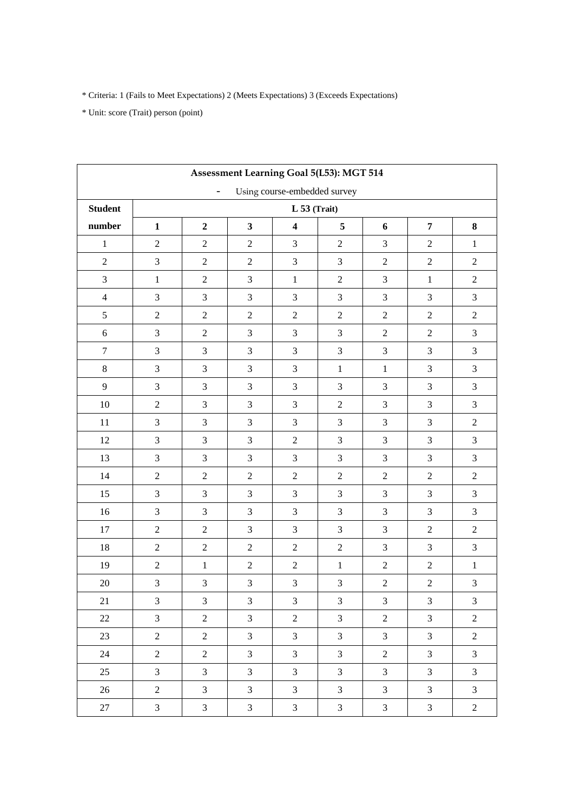| Assessment Learning Goal 5(L53): MGT 514 |                  |                   |                |                              |                |                |                |                |  |  |
|------------------------------------------|------------------|-------------------|----------------|------------------------------|----------------|----------------|----------------|----------------|--|--|
|                                          |                  | $\qquad \qquad -$ |                | Using course-embedded survey |                |                |                |                |  |  |
| <b>Student</b>                           |                  | $L$ 53 (Trait)    |                |                              |                |                |                |                |  |  |
| number                                   | $\mathbf{1}$     | $\boldsymbol{2}$  | $\mathbf{3}$   | $\overline{\mathbf{4}}$      | 5              | 6              | $\overline{7}$ | 8              |  |  |
| $\mathbf{1}$                             | $\boldsymbol{2}$ | $\overline{2}$    | $\overline{2}$ | 3                            | $\overline{2}$ | 3              | $\overline{2}$ | $\mathbf{1}$   |  |  |
| $\overline{2}$                           | $\mathfrak{Z}$   | $\overline{2}$    | $\overline{2}$ | $\overline{3}$               | $\overline{3}$ | $\overline{2}$ | $\overline{2}$ | $\overline{2}$ |  |  |
| 3                                        | $\mathbf{1}$     | $\overline{2}$    | $\overline{3}$ | $\mathbf{1}$                 | $\overline{2}$ | $\overline{3}$ | $\mathbf{1}$   | $\overline{2}$ |  |  |
| $\overline{4}$                           | $\mathfrak{Z}$   | $\overline{3}$    | $\overline{3}$ | $\overline{3}$               | $\overline{3}$ | $\overline{3}$ | $\overline{3}$ | $\overline{3}$ |  |  |
| 5                                        | $\overline{2}$   | $\overline{2}$    | $\overline{2}$ | $\sqrt{2}$                   | $\sqrt{2}$     | $\overline{2}$ | $\overline{2}$ | $\overline{2}$ |  |  |
| $\sqrt{6}$                               | $\mathfrak{Z}$   | $\overline{2}$    | $\overline{3}$ | $\overline{3}$               | $\overline{3}$ | $\overline{2}$ | $\overline{2}$ | $\overline{3}$ |  |  |
| $\tau$                                   | $\mathfrak{Z}$   | $\overline{3}$    | $\overline{3}$ | $\overline{3}$               | $\overline{3}$ | $\overline{3}$ | $\overline{3}$ | $\mathfrak{Z}$ |  |  |
| $\,8\,$                                  | $\mathfrak{Z}$   | $\overline{3}$    | $\overline{3}$ | $\overline{3}$               | $\mathbf{1}$   | $\mathbf{1}$   | $\overline{3}$ | $\mathfrak{Z}$ |  |  |
| 9                                        | $\mathfrak{Z}$   | $\overline{3}$    | $\overline{3}$ | $\overline{3}$               | $\overline{3}$ | $\overline{3}$ | $\overline{3}$ | $\overline{3}$ |  |  |
| 10                                       | $\sqrt{2}$       | 3                 | 3              | 3                            | $\overline{2}$ | $\overline{3}$ | $\overline{3}$ | $\overline{3}$ |  |  |
| 11                                       | $\mathfrak{Z}$   | $\overline{3}$    | $\overline{3}$ | $\overline{3}$               | $\overline{3}$ | $\overline{3}$ | $\overline{3}$ | $\sqrt{2}$     |  |  |
| 12                                       | $\mathfrak{Z}$   | 3                 | 3              | $\overline{2}$               | $\mathfrak{Z}$ | $\mathfrak{Z}$ | 3              | $\mathfrak{Z}$ |  |  |
| 13                                       | $\mathfrak{Z}$   | 3                 | $\mathfrak{Z}$ | 3                            | 3              | $\mathfrak{Z}$ | 3              | 3              |  |  |
| 14                                       | $\sqrt{2}$       | $\overline{2}$    | $\sqrt{2}$     | $\overline{2}$               | $\overline{2}$ | $\overline{2}$ | $\overline{2}$ | $\overline{2}$ |  |  |
| 15                                       | $\mathfrak{Z}$   | $\overline{3}$    | $\overline{3}$ | $\overline{3}$               | $\overline{3}$ | $\overline{3}$ | $\overline{3}$ | $\overline{3}$ |  |  |
| 16                                       | $\mathfrak{Z}$   | $\overline{3}$    | $\mathfrak{Z}$ | $\overline{3}$               | $\overline{3}$ | $\overline{3}$ | $\overline{3}$ | $\overline{3}$ |  |  |
| 17                                       | $\overline{2}$   | $\overline{2}$    | $\overline{3}$ | $\overline{3}$               | $\overline{3}$ | $\overline{3}$ | $\overline{2}$ | $\overline{2}$ |  |  |
| 18                                       | $\overline{2}$   | $\overline{2}$    | $\overline{2}$ | $\overline{2}$               | $\overline{2}$ | $\overline{3}$ | $\overline{3}$ | $\overline{3}$ |  |  |
| 19                                       | $\sqrt{2}$       | $\mathbf{1}$      | $\overline{2}$ | $\overline{2}$               | $\mathbf{1}$   | $\sqrt{2}$     | $\sqrt{2}$     | $\mathbf{1}$   |  |  |
| 20                                       | $\mathfrak 3$    | 3                 | 3              | 3                            | 3              | $\overline{2}$ | $\sqrt{2}$     | $\mathfrak{Z}$ |  |  |
| 21                                       | $\mathfrak{Z}$   | 3                 | $\mathfrak{Z}$ | $\mathfrak{Z}$               | $\mathfrak{Z}$ | $\mathfrak{Z}$ | $\mathfrak{Z}$ | $\mathfrak{Z}$ |  |  |
| 22                                       | $\overline{3}$   | $\overline{2}$    | $\overline{3}$ | $\overline{2}$               | $\overline{3}$ | $\overline{2}$ | $\mathfrak{Z}$ | $\overline{2}$ |  |  |
| 23                                       | $\overline{2}$   | $\overline{2}$    | $\mathfrak{Z}$ | $\mathfrak{Z}$               | $\mathfrak{Z}$ | $\mathfrak{Z}$ | $\mathfrak{Z}$ | $\overline{2}$ |  |  |
| 24                                       | $\overline{2}$   | $\overline{2}$    | $\mathfrak{Z}$ | $\overline{3}$               | $\overline{3}$ | $\overline{2}$ | $\mathfrak{Z}$ | $\mathfrak{Z}$ |  |  |
| 25                                       | 3                | 3                 | 3              | 3                            | 3              | $\mathfrak{Z}$ | $\mathfrak{Z}$ | $\mathfrak{Z}$ |  |  |
| 26                                       | $\overline{2}$   | $\mathfrak{Z}$    | $\mathfrak{Z}$ | $\overline{3}$               | $\overline{3}$ | $\mathfrak{Z}$ | $\mathfrak{Z}$ | $\mathfrak{Z}$ |  |  |
| 27                                       | $\mathfrak{Z}$   | $\mathfrak{Z}$    | $\mathfrak{Z}$ | 3                            | $\mathfrak{Z}$ | $\mathfrak{Z}$ | $\mathfrak{Z}$ | $\overline{2}$ |  |  |